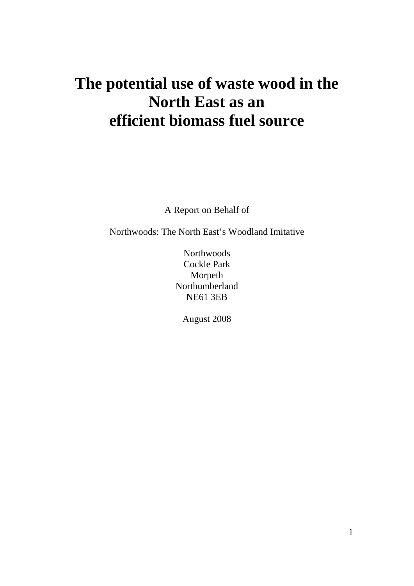# **The potential use of waste wood in the North East as an efficient biomass fuel source**

A Report on Behalf of

Northwoods: The North East's Woodland Imitative

**Northwoods** Cockle Park Morpeth Northumberland NE61 3EB

August 2008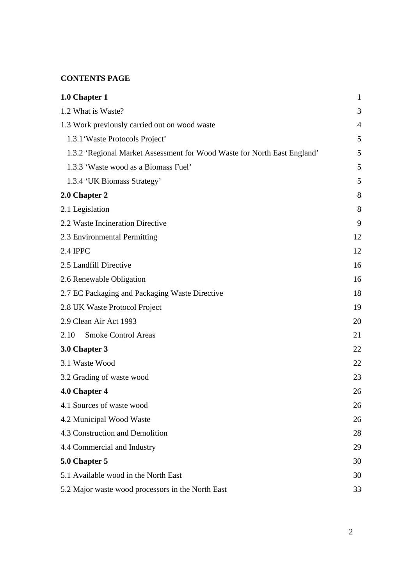## **CONTENTS PAGE**

| 1.0 Chapter 1                                                            | $\mathbf{1}$   |
|--------------------------------------------------------------------------|----------------|
| 1.2 What is Waste?                                                       | 3              |
| 1.3 Work previously carried out on wood waste                            | $\overline{4}$ |
| 1.3.1 Waste Protocols Project'                                           | 5              |
| 1.3.2 'Regional Market Assessment for Wood Waste for North East England' | 5              |
| 1.3.3 'Waste wood as a Biomass Fuel'                                     | 5              |
| 1.3.4 'UK Biomass Strategy'                                              | 5              |
| 2.0 Chapter 2                                                            | 8              |
| 2.1 Legislation                                                          | 8              |
| 2.2 Waste Incineration Directive                                         | 9              |
| 2.3 Environmental Permitting                                             | 12             |
| 2.4 IPPC                                                                 | 12             |
| 2.5 Landfill Directive                                                   | 16             |
| 2.6 Renewable Obligation                                                 | 16             |
| 2.7 EC Packaging and Packaging Waste Directive                           | 18             |
| 2.8 UK Waste Protocol Project                                            | 19             |
| 2.9 Clean Air Act 1993                                                   | 20             |
| <b>Smoke Control Areas</b><br>2.10                                       | 21             |
| 3.0 Chapter 3                                                            | 22             |
| 3.1 Waste Wood                                                           | 22             |
| 3.2 Grading of waste wood                                                | 23             |
| 4.0 Chapter 4                                                            | 26             |
| 4.1 Sources of waste wood                                                | 26             |
| 4.2 Municipal Wood Waste                                                 | 26             |
| 4.3 Construction and Demolition                                          | 28             |
| 4.4 Commercial and Industry                                              | 29             |
| 5.0 Chapter 5                                                            | 30             |
| 5.1 Available wood in the North East                                     | 30             |
| 5.2 Major waste wood processors in the North East                        | 33             |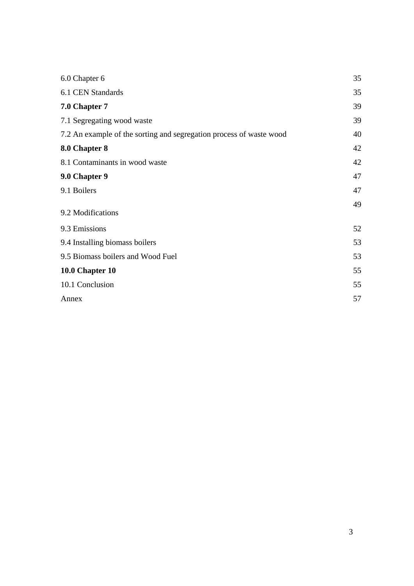| 6.0 Chapter 6                                                       | 35 |
|---------------------------------------------------------------------|----|
| 6.1 CEN Standards                                                   | 35 |
| 7.0 Chapter 7                                                       | 39 |
| 7.1 Segregating wood waste                                          | 39 |
| 7.2 An example of the sorting and segregation process of waste wood | 40 |
| 8.0 Chapter 8                                                       | 42 |
| 8.1 Contaminants in wood waste                                      | 42 |
| 9.0 Chapter 9                                                       | 47 |
| 9.1 Boilers                                                         | 47 |
| 9.2 Modifications                                                   | 49 |
| 9.3 Emissions                                                       | 52 |
| 9.4 Installing biomass boilers                                      | 53 |
| 9.5 Biomass boilers and Wood Fuel                                   | 53 |
| 10.0 Chapter 10                                                     | 55 |
| 10.1 Conclusion                                                     | 55 |
| Annex                                                               | 57 |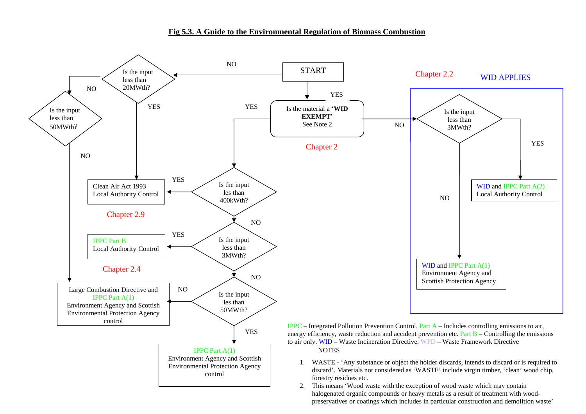#### **Fig 5.3. A Guide to the Environmental Regulation of Biomass Combustion**



halogenated organic compounds or heavy metals as a result of treatment with woodpreservatives or coatings which includes in particular construction and demolition waste'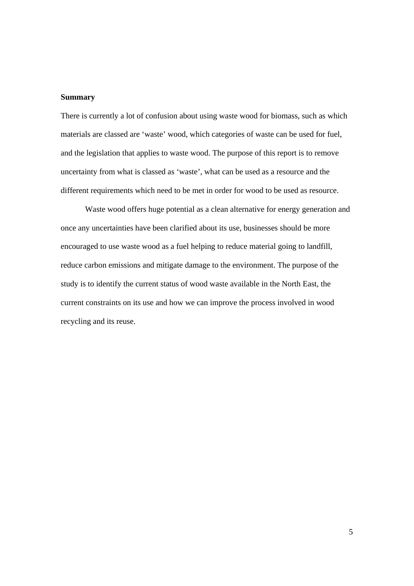#### **Summary**

There is currently a lot of confusion about using waste wood for biomass, such as which materials are classed are 'waste' wood, which categories of waste can be used for fuel, and the legislation that applies to waste wood. The purpose of this report is to remove uncertainty from what is classed as 'waste', what can be used as a resource and the different requirements which need to be met in order for wood to be used as resource.

Waste wood offers huge potential as a clean alternative for energy generation and once any uncertainties have been clarified about its use, businesses should be more encouraged to use waste wood as a fuel helping to reduce material going to landfill, reduce carbon emissions and mitigate damage to the environment. The purpose of the study is to identify the current status of wood waste available in the North East, the current constraints on its use and how we can improve the process involved in wood recycling and its reuse.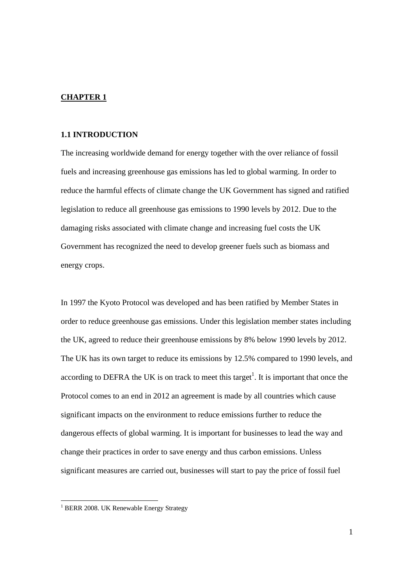#### **CHAPTER 1**

#### **1.1 INTRODUCTION**

The increasing worldwide demand for energy together with the over reliance of fossil fuels and increasing greenhouse gas emissions has led to global warming. In order to reduce the harmful effects of climate change the UK Government has signed and ratified legislation to reduce all greenhouse gas emissions to 1990 levels by 2012. Due to the damaging risks associated with climate change and increasing fuel costs the UK Government has recognized the need to develop greener fuels such as biomass and energy crops.

In 1997 the Kyoto Protocol was developed and has been ratified by Member States in order to reduce greenhouse gas emissions. Under this legislation member states including the UK, agreed to reduce their greenhouse emissions by 8% below 1990 levels by 2012. The UK has its own target to reduce its emissions by 12.5% compared to 1990 levels, and according to DEFRA the UK is on track to meet this target<sup>1</sup>. It is important that once the Protocol comes to an end in 2012 an agreement is made by all countries which cause significant impacts on the environment to reduce emissions further to reduce the dangerous effects of global warming. It is important for businesses to lead the way and change their practices in order to save energy and thus carbon emissions. Unless significant measures are carried out, businesses will start to pay the price of fossil fuel

 $\overline{a}$ 

<sup>&</sup>lt;sup>1</sup> BERR 2008. UK Renewable Energy Strategy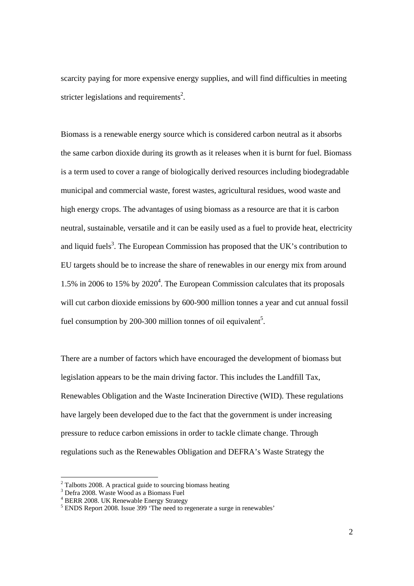scarcity paying for more expensive energy supplies, and will find difficulties in meeting stricter legislations and requirements<sup>2</sup>.

Biomass is a renewable energy source which is considered carbon neutral as it absorbs the same carbon dioxide during its growth as it releases when it is burnt for fuel. Biomass is a term used to cover a range of biologically derived resources including biodegradable municipal and commercial waste, forest wastes, agricultural residues, wood waste and high energy crops. The advantages of using biomass as a resource are that it is carbon neutral, sustainable, versatile and it can be easily used as a fuel to provide heat, electricity and liquid fuels<sup>3</sup>. The European Commission has proposed that the UK's contribution to EU targets should be to increase the share of renewables in our energy mix from around 1.5% in 2006 to 15% by 2020<sup>4</sup>. The European Commission calculates that its proposals will cut carbon dioxide emissions by 600-900 million tonnes a year and cut annual fossil fuel consumption by 200-300 million tonnes of oil equivalent<sup>5</sup>.

There are a number of factors which have encouraged the development of biomass but legislation appears to be the main driving factor. This includes the Landfill Tax, Renewables Obligation and the Waste Incineration Directive (WID). These regulations have largely been developed due to the fact that the government is under increasing pressure to reduce carbon emissions in order to tackle climate change. Through regulations such as the Renewables Obligation and DEFRA's Waste Strategy the

 $2$  Talbotts 2008. A practical guide to sourcing biomass heating

<sup>3</sup> Defra 2008. Waste Wood as a Biomass Fuel

<sup>&</sup>lt;sup>4</sup> BERR 2008. UK Renewable Energy Strategy

<sup>&</sup>lt;sup>5</sup> ENDS Report 2008. Issue 399 'The need to regenerate a surge in renewables'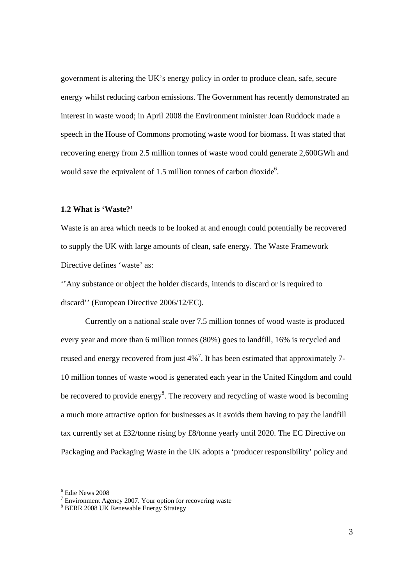government is altering the UK's energy policy in order to produce clean, safe, secure energy whilst reducing carbon emissions. The Government has recently demonstrated an interest in waste wood; in April 2008 the Environment minister Joan Ruddock made a speech in the House of Commons promoting waste wood for biomass. It was stated that recovering energy from 2.5 million tonnes of waste wood could generate 2,600GWh and would save the equivalent of 1.5 million tonnes of carbon dioxide<sup>6</sup>.

#### **1.2 What is 'Waste?'**

Waste is an area which needs to be looked at and enough could potentially be recovered to supply the UK with large amounts of clean, safe energy. The Waste Framework Directive defines 'waste' as:

''Any substance or object the holder discards, intends to discard or is required to discard'' (European Directive 2006/12/EC).

Currently on a national scale over 7.5 million tonnes of wood waste is produced every year and more than 6 million tonnes (80%) goes to landfill, 16% is recycled and reused and energy recovered from just  $4\%$ <sup>7</sup>. It has been estimated that approximately 7-10 million tonnes of waste wood is generated each year in the United Kingdom and could be recovered to provide energy<sup>8</sup>. The recovery and recycling of waste wood is becoming a much more attractive option for businesses as it avoids them having to pay the landfill tax currently set at £32/tonne rising by £8/tonne yearly until 2020. The EC Directive on Packaging and Packaging Waste in the UK adopts a 'producer responsibility' policy and

<sup>6</sup> Edie News 2008

 $7$  Environment Agency 2007. Your option for recovering waste

<sup>8</sup> BERR 2008 UK Renewable Energy Strategy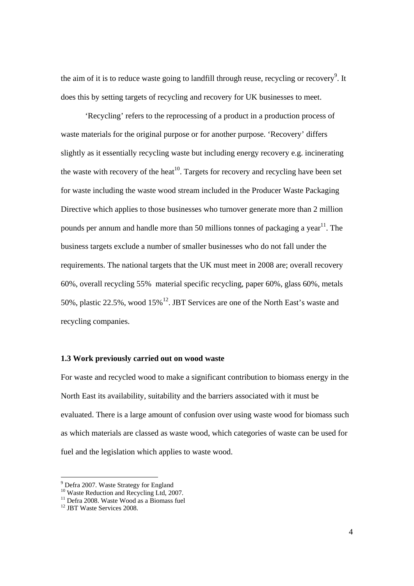the aim of it is to reduce waste going to landfill through reuse, recycling or recovery<sup>9</sup>. It does this by setting targets of recycling and recovery for UK businesses to meet.

'Recycling' refers to the reprocessing of a product in a production process of waste materials for the original purpose or for another purpose. 'Recovery' differs slightly as it essentially recycling waste but including energy recovery e.g. incinerating the waste with recovery of the heat<sup>10</sup>. Targets for recovery and recycling have been set for waste including the waste wood stream included in the Producer Waste Packaging Directive which applies to those businesses who turnover generate more than 2 million pounds per annum and handle more than 50 millions tonnes of packaging a year<sup>11</sup>. The business targets exclude a number of smaller businesses who do not fall under the requirements. The national targets that the UK must meet in 2008 are; overall recovery 60%, overall recycling 55% material specific recycling, paper 60%, glass 60%, metals 50%, plastic 22.5%, wood  $15\%$ <sup>12</sup>. JBT Services are one of the North East's waste and recycling companies.

#### **1.3 Work previously carried out on wood waste**

For waste and recycled wood to make a significant contribution to biomass energy in the North East its availability, suitability and the barriers associated with it must be evaluated. There is a large amount of confusion over using waste wood for biomass such as which materials are classed as waste wood, which categories of waste can be used for fuel and the legislation which applies to waste wood.

<sup>&</sup>lt;sup>9</sup> Defra 2007. Waste Strategy for England

<sup>&</sup>lt;sup>10</sup> Waste Reduction and Recycling Ltd, 2007.

<sup>&</sup>lt;sup>11</sup> Defra 2008. Waste Wood as a Biomass fuel

<sup>&</sup>lt;sup>12</sup> JBT Waste Services 2008.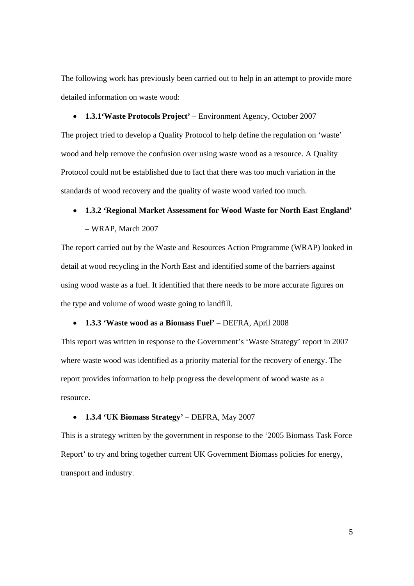The following work has previously been carried out to help in an attempt to provide more detailed information on waste wood:

• **1.3.1'Waste Protocols Project'** – Environment Agency, October 2007 The project tried to develop a Quality Protocol to help define the regulation on 'waste' wood and help remove the confusion over using waste wood as a resource. A Quality Protocol could not be established due to fact that there was too much variation in the standards of wood recovery and the quality of waste wood varied too much.

#### • **1.3.2 'Regional Market Assessment for Wood Waste for North East England'**

#### – WRAP, March 2007

The report carried out by the Waste and Resources Action Programme (WRAP) looked in detail at wood recycling in the North East and identified some of the barriers against using wood waste as a fuel. It identified that there needs to be more accurate figures on the type and volume of wood waste going to landfill.

#### • **1.3.3 'Waste wood as a Biomass Fuel'** – DEFRA, April 2008

This report was written in response to the Government's 'Waste Strategy' report in 2007 where waste wood was identified as a priority material for the recovery of energy. The report provides information to help progress the development of wood waste as a resource.

#### • **1.3.4 'UK Biomass Strategy'** – DEFRA, May 2007

This is a strategy written by the government in response to the '2005 Biomass Task Force Report' to try and bring together current UK Government Biomass policies for energy, transport and industry.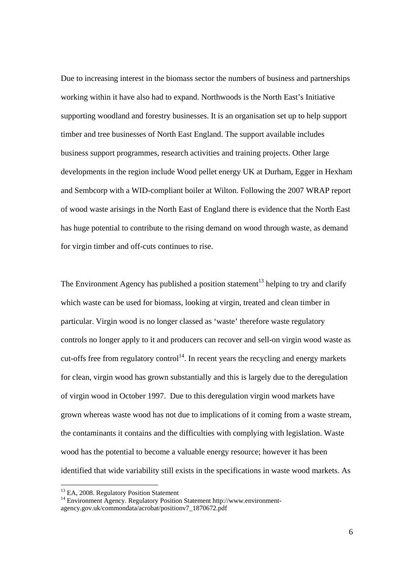Due to increasing interest in the biomass sector the numbers of business and partnerships working within it have also had to expand. Northwoods is the North East's Initiative supporting woodland and forestry businesses. It is an organisation set up to help support timber and tree businesses of North East England. The support available includes business support programmes, research activities and training projects. Other large developments in the region include Wood pellet energy UK at Durham, Egger in Hexham and Sembcorp with a WID-compliant boiler at Wilton. Following the 2007 WRAP report of wood waste arisings in the North East of England there is evidence that the North East has huge potential to contribute to the rising demand on wood through waste, as demand for virgin timber and off-cuts continues to rise.

The Environment Agency has published a position statement<sup>13</sup> helping to try and clarify which waste can be used for biomass, looking at virgin, treated and clean timber in particular. Virgin wood is no longer classed as 'waste' therefore waste regulatory controls no longer apply to it and producers can recover and sell-on virgin wood waste as cut-offs free from regulatory control<sup>14</sup>. In recent years the recycling and energy markets for clean, virgin wood has grown substantially and this is largely due to the deregulation of virgin wood in October 1997. Due to this deregulation virgin wood markets have grown whereas waste wood has not due to implications of it coming from a waste stream, the contaminants it contains and the difficulties with complying with legislation. Waste wood has the potential to become a valuable energy resource; however it has been identified that wide variability still exists in the specifications in waste wood markets. As

<sup>&</sup>lt;sup>13</sup> EA, 2008. Regulatory Position Statement

<sup>14</sup> Environment Agency. Regulatory Position Statement http://www.environmentagency.gov.uk/commondata/acrobat/positionv7\_1870672.pdf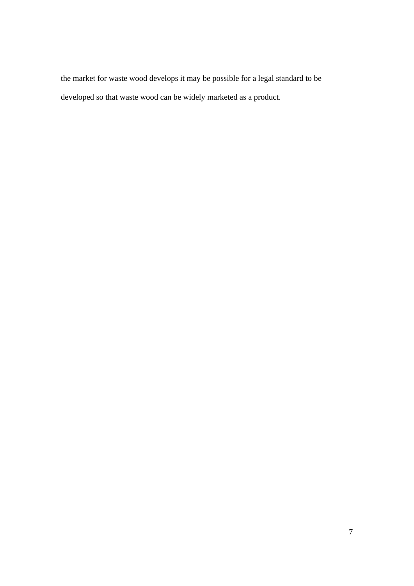the market for waste wood develops it may be possible for a legal standard to be developed so that waste wood can be widely marketed as a product.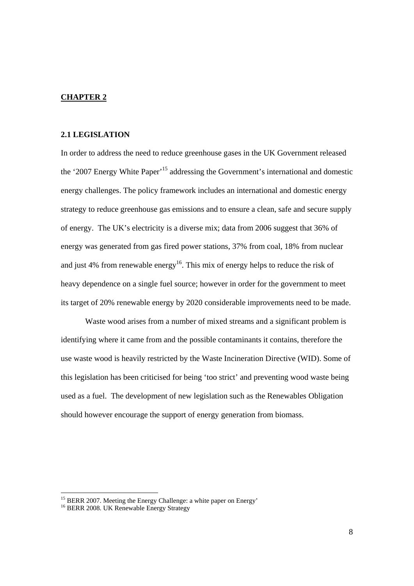## **CHAPTER 2**

## **2.1 LEGISLATION**

In order to address the need to reduce greenhouse gases in the UK Government released the '2007 Energy White Paper'15 addressing the Government's international and domestic energy challenges. The policy framework includes an international and domestic energy strategy to reduce greenhouse gas emissions and to ensure a clean, safe and secure supply of energy. The UK's electricity is a diverse mix; data from 2006 suggest that 36% of energy was generated from gas fired power stations, 37% from coal, 18% from nuclear and just 4% from renewable energy<sup>16</sup>. This mix of energy helps to reduce the risk of heavy dependence on a single fuel source; however in order for the government to meet its target of 20% renewable energy by 2020 considerable improvements need to be made.

 Waste wood arises from a number of mixed streams and a significant problem is identifying where it came from and the possible contaminants it contains, therefore the use waste wood is heavily restricted by the Waste Incineration Directive (WID). Some of this legislation has been criticised for being 'too strict' and preventing wood waste being used as a fuel. The development of new legislation such as the Renewables Obligation should however encourage the support of energy generation from biomass.

<sup>&</sup>lt;sup>15</sup> BERR 2007. Meeting the Energy Challenge: a white paper on Energy'

<sup>&</sup>lt;sup>16</sup> BERR 2008. UK Renewable Energy Strategy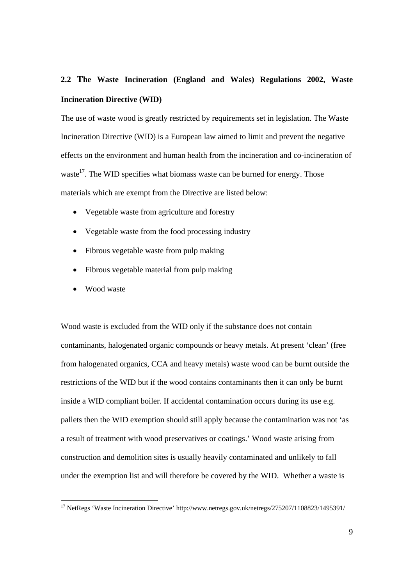## **2.2 The Waste Incineration (England and Wales) Regulations 2002, Waste Incineration Directive (WID)**

The use of waste wood is greatly restricted by requirements set in legislation. The Waste Incineration Directive (WID) is a European law aimed to limit and prevent the negative effects on the environment and human health from the incineration and co-incineration of waste<sup>17</sup>. The WID specifies what biomass waste can be burned for energy. Those materials which are exempt from the Directive are listed below:

- Vegetable waste from agriculture and forestry
- Vegetable waste from the food processing industry
- Fibrous vegetable waste from pulp making
- Fibrous vegetable material from pulp making
- Wood waste

 $\overline{a}$ 

Wood waste is excluded from the WID only if the substance does not contain contaminants, halogenated organic compounds or heavy metals. At present 'clean' (free from halogenated organics, CCA and heavy metals) waste wood can be burnt outside the restrictions of the WID but if the wood contains contaminants then it can only be burnt inside a WID compliant boiler. If accidental contamination occurs during its use e.g. pallets then the WID exemption should still apply because the contamination was not 'as a result of treatment with wood preservatives or coatings.' Wood waste arising from construction and demolition sites is usually heavily contaminated and unlikely to fall under the exemption list and will therefore be covered by the WID. Whether a waste is

<sup>&</sup>lt;sup>17</sup> NetRegs 'Waste Incineration Directive' http://www.netregs.gov.uk/netregs/275207/1108823/1495391/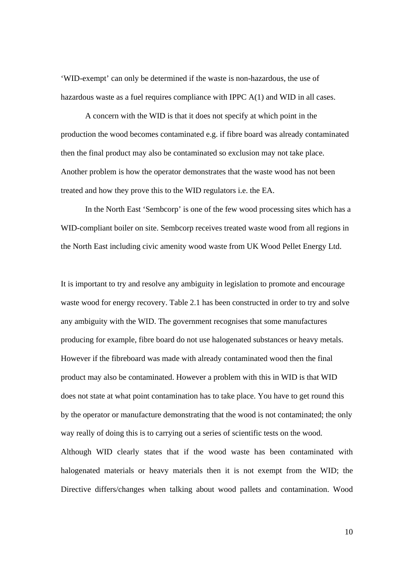'WID-exempt' can only be determined if the waste is non-hazardous, the use of hazardous waste as a fuel requires compliance with IPPC A(1) and WID in all cases.

A concern with the WID is that it does not specify at which point in the production the wood becomes contaminated e.g. if fibre board was already contaminated then the final product may also be contaminated so exclusion may not take place. Another problem is how the operator demonstrates that the waste wood has not been treated and how they prove this to the WID regulators i.e. the EA.

In the North East 'Sembcorp' is one of the few wood processing sites which has a WID-compliant boiler on site. Sembcorp receives treated waste wood from all regions in the North East including civic amenity wood waste from UK Wood Pellet Energy Ltd.

It is important to try and resolve any ambiguity in legislation to promote and encourage waste wood for energy recovery. Table 2.1 has been constructed in order to try and solve any ambiguity with the WID. The government recognises that some manufactures producing for example, fibre board do not use halogenated substances or heavy metals. However if the fibreboard was made with already contaminated wood then the final product may also be contaminated. However a problem with this in WID is that WID does not state at what point contamination has to take place. You have to get round this by the operator or manufacture demonstrating that the wood is not contaminated; the only way really of doing this is to carrying out a series of scientific tests on the wood. Although WID clearly states that if the wood waste has been contaminated with halogenated materials or heavy materials then it is not exempt from the WID; the Directive differs/changes when talking about wood pallets and contamination. Wood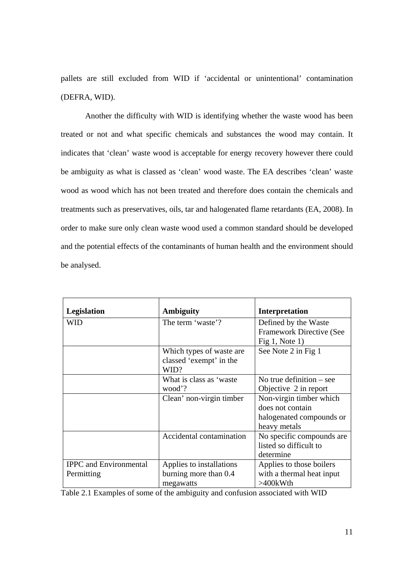pallets are still excluded from WID if 'accidental or unintentional' contamination (DEFRA, WID).

Another the difficulty with WID is identifying whether the waste wood has been treated or not and what specific chemicals and substances the wood may contain. It indicates that 'clean' waste wood is acceptable for energy recovery however there could be ambiguity as what is classed as 'clean' wood waste. The EA describes 'clean' waste wood as wood which has not been treated and therefore does contain the chemicals and treatments such as preservatives, oils, tar and halogenated flame retardants (EA, 2008). In order to make sure only clean waste wood used a common standard should be developed and the potential effects of the contaminants of human health and the environment should be analysed.

| Legislation                   | <b>Ambiguity</b>                | <b>Interpretation</b>                            |
|-------------------------------|---------------------------------|--------------------------------------------------|
| WID                           | The term 'waste'?               | Defined by the Waste<br>Framework Directive (See |
|                               |                                 | Fig $1$ , Note $1$ )                             |
|                               | Which types of waste are        | See Note 2 in Fig 1                              |
|                               | classed 'exempt' in the<br>WID? |                                                  |
|                               | What is class as 'waste         | No true definition $-$ see                       |
|                               | wood'?                          | Objective 2 in report                            |
|                               | Clean' non-virgin timber        | Non-virgin timber which                          |
|                               |                                 | does not contain                                 |
|                               |                                 | halogenated compounds or                         |
|                               |                                 | heavy metals                                     |
|                               | Accidental contamination        | No specific compounds are.                       |
|                               |                                 | listed so difficult to                           |
|                               |                                 | determine                                        |
| <b>IPPC</b> and Environmental | Applies to installations        | Applies to those boilers                         |
| Permitting                    | burning more than 0.4           | with a thermal heat input                        |
|                               | megawatts                       | $>400$ kWth                                      |

Table 2.1 Examples of some of the ambiguity and confusion associated with WID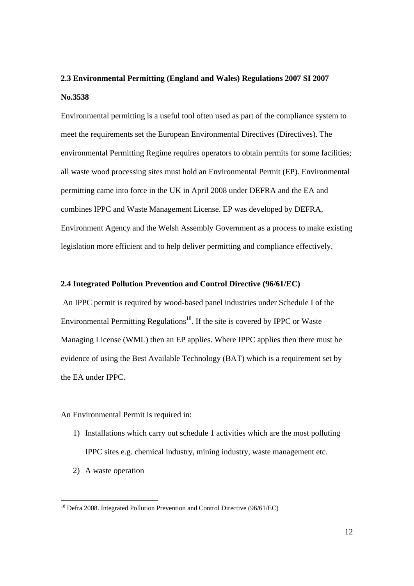## **2.3 Environmental Permitting (England and Wales) Regulations 2007 SI 2007 No.3538**

Environmental permitting is a useful tool often used as part of the compliance system to meet the requirements set the European Environmental Directives (Directives). The environmental Permitting Regime requires operators to obtain permits for some facilities; all waste wood processing sites must hold an Environmental Permit (EP). Environmental permitting came into force in the UK in April 2008 under DEFRA and the EA and combines IPPC and Waste Management License. EP was developed by DEFRA, Environment Agency and the Welsh Assembly Government as a process to make existing legislation more efficient and to help deliver permitting and compliance effectively.

#### **2.4 Integrated Pollution Prevention and Control Directive (96/61/EC)**

 An IPPC permit is required by wood-based panel industries under Schedule I of the Environmental Permitting Regulations<sup>18</sup>. If the site is covered by IPPC or Waste Managing License (WML) then an EP applies. Where IPPC applies then there must be evidence of using the Best Available Technology (BAT) which is a requirement set by the EA under IPPC.

An Environmental Permit is required in:

- 1) Installations which carry out schedule 1 activities which are the most polluting IPPC sites e.g. chemical industry, mining industry, waste management etc.
- 2) A waste operation

 $\overline{a}$ 

 $18$  Defra 2008. Integrated Pollution Prevention and Control Directive (96/61/EC)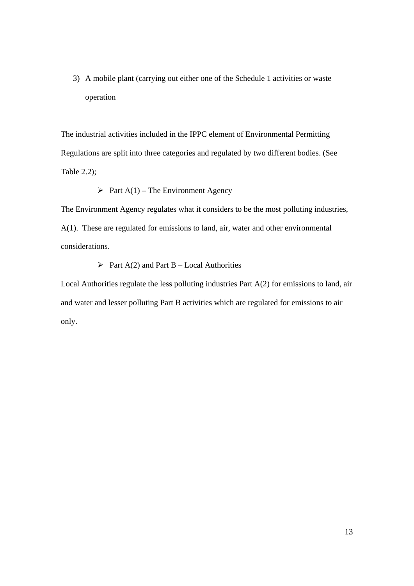3) A mobile plant (carrying out either one of the Schedule 1 activities or waste operation

The industrial activities included in the IPPC element of Environmental Permitting Regulations are split into three categories and regulated by two different bodies. (See Table 2.2);

## $\triangleright$  Part A(1) – The Environment Agency

The Environment Agency regulates what it considers to be the most polluting industries, A(1). These are regulated for emissions to land, air, water and other environmental considerations.

## $\triangleright$  Part A(2) and Part B – Local Authorities

Local Authorities regulate the less polluting industries Part A(2) for emissions to land, air and water and lesser polluting Part B activities which are regulated for emissions to air only.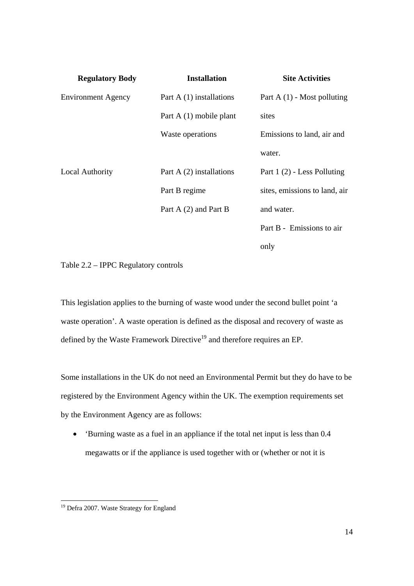| <b>Regulatory Body</b>    | <b>Installation</b>       | <b>Site Activities</b>        |
|---------------------------|---------------------------|-------------------------------|
| <b>Environment Agency</b> | Part $A(1)$ installations | Part A $(1)$ - Most polluting |
|                           | Part A (1) mobile plant   | sites                         |
|                           | Waste operations          | Emissions to land, air and    |
|                           |                           | water.                        |
| <b>Local Authority</b>    | Part $A(2)$ installations | Part 1 (2) - Less Polluting   |
|                           | Part B regime             | sites, emissions to land, air |
|                           | Part A (2) and Part B     | and water.                    |
|                           |                           | Part B - Emissions to air     |
|                           |                           | only                          |

Table 2.2 – IPPC Regulatory controls

This legislation applies to the burning of waste wood under the second bullet point 'a waste operation'. A waste operation is defined as the disposal and recovery of waste as defined by the Waste Framework Directive<sup>19</sup> and therefore requires an EP.

Some installations in the UK do not need an Environmental Permit but they do have to be registered by the Environment Agency within the UK. The exemption requirements set by the Environment Agency are as follows:

• 'Burning waste as a fuel in an appliance if the total net input is less than 0.4 megawatts or if the appliance is used together with or (whether or not it is

 $\overline{a}$ 

<sup>&</sup>lt;sup>19</sup> Defra 2007. Waste Strategy for England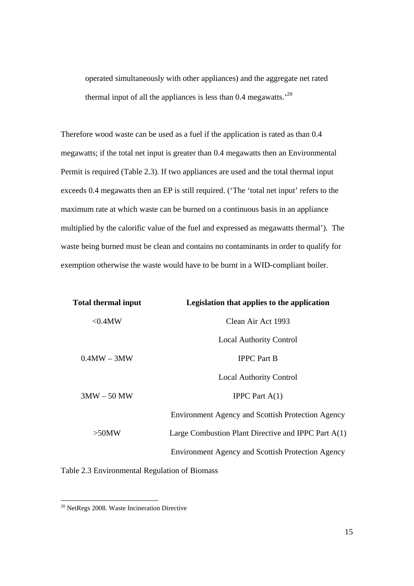operated simultaneously with other appliances) and the aggregate net rated thermal input of all the appliances is less than 0.4 megawatts.'20

Therefore wood waste can be used as a fuel if the application is rated as than 0.4 megawatts; if the total net input is greater than 0.4 megawatts then an Environmental Permit is required (Table 2.3). If two appliances are used and the total thermal input exceeds 0.4 megawatts then an EP is still required. ('The 'total net input' refers to the maximum rate at which waste can be burned on a continuous basis in an appliance multiplied by the calorific value of the fuel and expressed as megawatts thermal'). The waste being burned must be clean and contains no contaminants in order to qualify for exemption otherwise the waste would have to be burnt in a WID-compliant boiler.

| <b>Total thermal input</b> | Legislation that applies to the application              |
|----------------------------|----------------------------------------------------------|
| $< 0.4$ MW                 | Clean Air Act 1993                                       |
|                            | <b>Local Authority Control</b>                           |
| $0.4MW - 3MW$              | <b>IPPC</b> Part B                                       |
|                            | <b>Local Authority Control</b>                           |
| $3MW - 50MW$               | <b>IPPC</b> Part $A(1)$                                  |
|                            | <b>Environment Agency and Scottish Protection Agency</b> |
| $>50$ MW                   | Large Combustion Plant Directive and IPPC Part $A(1)$    |
|                            | <b>Environment Agency and Scottish Protection Agency</b> |
|                            |                                                          |

Table 2.3 Environmental Regulation of Biomass

 $\overline{a}$ 

 $20$  NetRegs 2008. Waste Incineration Directive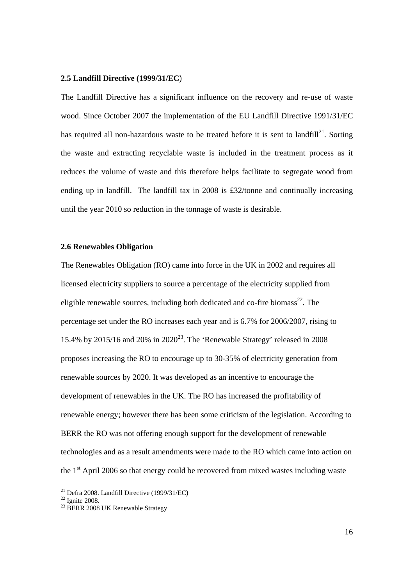#### **2.5 Landfill Directive (1999/31/EC**)

The Landfill Directive has a significant influence on the recovery and re-use of waste wood. Since October 2007 the implementation of the EU Landfill Directive 1991/31/EC has required all non-hazardous waste to be treated before it is sent to landfill<sup>21</sup>. Sorting the waste and extracting recyclable waste is included in the treatment process as it reduces the volume of waste and this therefore helps facilitate to segregate wood from ending up in landfill. The landfill tax in 2008 is £32/tonne and continually increasing until the year 2010 so reduction in the tonnage of waste is desirable.

#### **2.6 Renewables Obligation**

The Renewables Obligation (RO) came into force in the UK in 2002 and requires all licensed electricity suppliers to source a percentage of the electricity supplied from eligible renewable sources, including both dedicated and co-fire biomass<sup>22</sup>. The percentage set under the RO increases each year and is 6.7% for 2006/2007, rising to 15.4% by 2015/16 and 20% in 2020<sup>23</sup>. The 'Renewable Strategy' released in 2008 proposes increasing the RO to encourage up to 30-35% of electricity generation from renewable sources by 2020. It was developed as an incentive to encourage the development of renewables in the UK. The RO has increased the profitability of renewable energy; however there has been some criticism of the legislation. According to BERR the RO was not offering enough support for the development of renewable technologies and as a result amendments were made to the RO which came into action on the  $1<sup>st</sup>$  April 2006 so that energy could be recovered from mixed wastes including waste

<sup>&</sup>lt;sup>21</sup> Defra 2008. Landfill Directive (1999/31/EC)<br><sup>22</sup> Ignite 2008.

<sup>&</sup>lt;sup>23</sup> BERR 2008 UK Renewable Strategy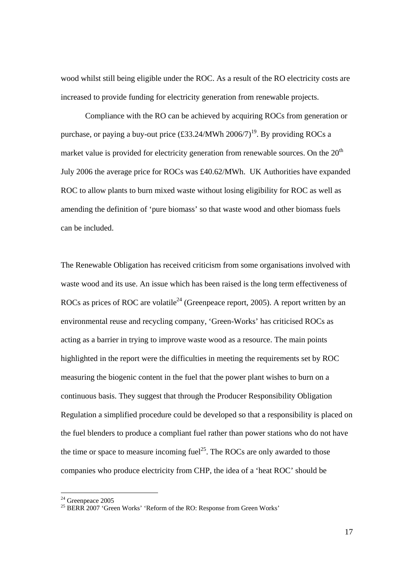wood whilst still being eligible under the ROC. As a result of the RO electricity costs are increased to provide funding for electricity generation from renewable projects.

Compliance with the RO can be achieved by acquiring ROCs from generation or purchase, or paying a buy-out price  $(\text{\pounds}33.24/\text{MWh } 2006/7)^{19}$ . By providing ROCs a market value is provided for electricity generation from renewable sources. On the  $20<sup>th</sup>$ July 2006 the average price for ROCs was £40.62/MWh. UK Authorities have expanded ROC to allow plants to burn mixed waste without losing eligibility for ROC as well as amending the definition of 'pure biomass' so that waste wood and other biomass fuels can be included.

The Renewable Obligation has received criticism from some organisations involved with waste wood and its use. An issue which has been raised is the long term effectiveness of ROCs as prices of ROC are volatile<sup>24</sup> (Greenpeace report, 2005). A report written by an environmental reuse and recycling company, 'Green-Works' has criticised ROCs as acting as a barrier in trying to improve waste wood as a resource. The main points highlighted in the report were the difficulties in meeting the requirements set by ROC measuring the biogenic content in the fuel that the power plant wishes to burn on a continuous basis. They suggest that through the Producer Responsibility Obligation Regulation a simplified procedure could be developed so that a responsibility is placed on the fuel blenders to produce a compliant fuel rather than power stations who do not have the time or space to measure incoming fuel<sup>25</sup>. The ROCs are only awarded to those companies who produce electricity from CHP, the idea of a 'heat ROC' should be

 $24$  Greenpeace 2005

<sup>&</sup>lt;sup>25</sup> BERR 2007 'Green Works' 'Reform of the RO: Response from Green Works'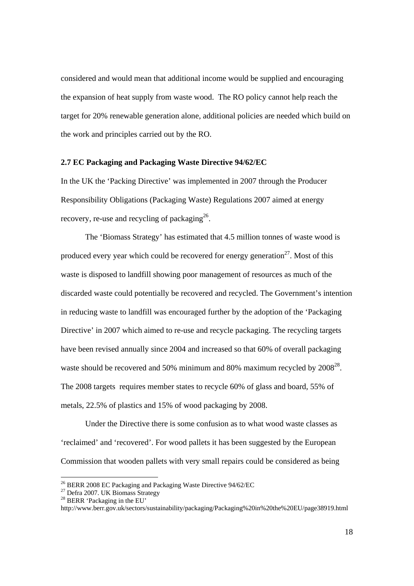considered and would mean that additional income would be supplied and encouraging the expansion of heat supply from waste wood. The RO policy cannot help reach the target for 20% renewable generation alone, additional policies are needed which build on the work and principles carried out by the RO.

#### **2.7 EC Packaging and Packaging Waste Directive 94/62/EC**

In the UK the 'Packing Directive' was implemented in 2007 through the Producer Responsibility Obligations (Packaging Waste) Regulations 2007 aimed at energy recovery, re-use and recycling of packaging<sup>26</sup>.

The 'Biomass Strategy' has estimated that 4.5 million tonnes of waste wood is produced every year which could be recovered for energy generation<sup>27</sup>. Most of this waste is disposed to landfill showing poor management of resources as much of the discarded waste could potentially be recovered and recycled. The Government's intention in reducing waste to landfill was encouraged further by the adoption of the 'Packaging Directive' in 2007 which aimed to re-use and recycle packaging. The recycling targets have been revised annually since 2004 and increased so that 60% of overall packaging waste should be recovered and 50% minimum and 80% maximum recycled by 2008<sup>28</sup>. The 2008 targets requires member states to recycle 60% of glass and board, 55% of metals, 22.5% of plastics and 15% of wood packaging by 2008.

 Under the Directive there is some confusion as to what wood waste classes as 'reclaimed' and 'recovered'. For wood pallets it has been suggested by the European Commission that wooden pallets with very small repairs could be considered as being

<sup>&</sup>lt;sup>26</sup> BERR 2008 EC Packaging and Packaging Waste Directive 94/62/EC

 $27$  Defra 2007. UK Biomass Strategy

<sup>28</sup> BERR 'Packaging in the EU'

http://www.berr.gov.uk/sectors/sustainability/packaging/Packaging%20in%20the%20EU/page38919.html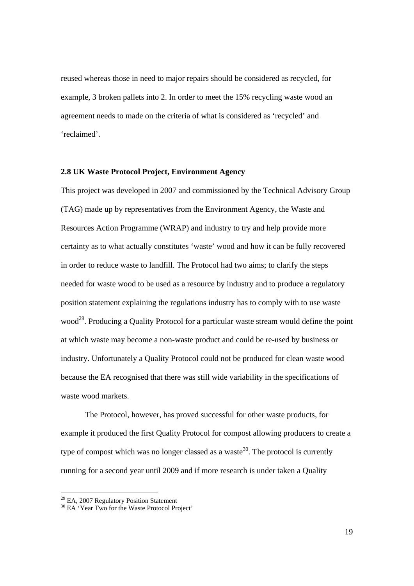reused whereas those in need to major repairs should be considered as recycled, for example, 3 broken pallets into 2. In order to meet the 15% recycling waste wood an agreement needs to made on the criteria of what is considered as 'recycled' and 'reclaimed'.

#### **2.8 UK Waste Protocol Project, Environment Agency**

This project was developed in 2007 and commissioned by the Technical Advisory Group (TAG) made up by representatives from the Environment Agency, the Waste and Resources Action Programme (WRAP) and industry to try and help provide more certainty as to what actually constitutes 'waste' wood and how it can be fully recovered in order to reduce waste to landfill. The Protocol had two aims; to clarify the steps needed for waste wood to be used as a resource by industry and to produce a regulatory position statement explaining the regulations industry has to comply with to use waste wood<sup>29</sup>. Producing a Quality Protocol for a particular waste stream would define the point at which waste may become a non-waste product and could be re-used by business or industry. Unfortunately a Quality Protocol could not be produced for clean waste wood because the EA recognised that there was still wide variability in the specifications of waste wood markets.

The Protocol, however, has proved successful for other waste products, for example it produced the first Quality Protocol for compost allowing producers to create a type of compost which was no longer classed as a waste<sup>30</sup>. The protocol is currently running for a second year until 2009 and if more research is under taken a Quality

<sup>&</sup>lt;sup>29</sup> EA, 2007 Regulatory Position Statement

<sup>&</sup>lt;sup>30</sup> EA 'Year Two for the Waste Protocol Project'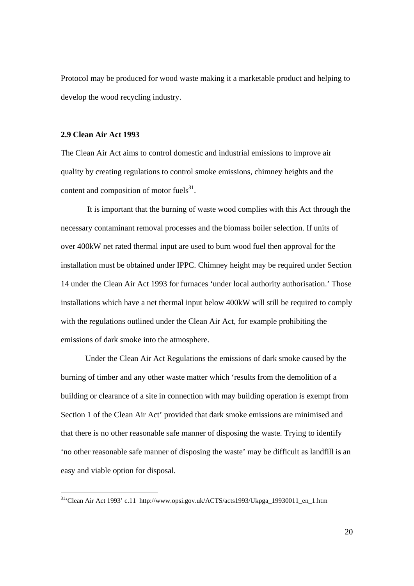Protocol may be produced for wood waste making it a marketable product and helping to develop the wood recycling industry.

#### **2.9 Clean Air Act 1993**

The Clean Air Act aims to control domestic and industrial emissions to improve air quality by creating regulations to control smoke emissions, chimney heights and the content and composition of motor fuels $^{31}$ .

 It is important that the burning of waste wood complies with this Act through the necessary contaminant removal processes and the biomass boiler selection. If units of over 400kW net rated thermal input are used to burn wood fuel then approval for the installation must be obtained under IPPC. Chimney height may be required under Section 14 under the Clean Air Act 1993 for furnaces 'under local authority authorisation.' Those installations which have a net thermal input below 400kW will still be required to comply with the regulations outlined under the Clean Air Act, for example prohibiting the emissions of dark smoke into the atmosphere.

 Under the Clean Air Act Regulations the emissions of dark smoke caused by the burning of timber and any other waste matter which 'results from the demolition of a building or clearance of a site in connection with may building operation is exempt from Section 1 of the Clean Air Act' provided that dark smoke emissions are minimised and that there is no other reasonable safe manner of disposing the waste. Trying to identify 'no other reasonable safe manner of disposing the waste' may be difficult as landfill is an easy and viable option for disposal.

<sup>31&#</sup>x27;Clean Air Act 1993' c.11 http://www.opsi.gov.uk/ACTS/acts1993/Ukpga\_19930011\_en\_1.htm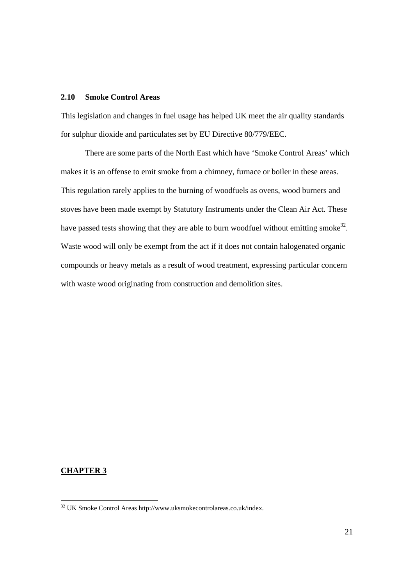#### **2.10 Smoke Control Areas**

This legislation and changes in fuel usage has helped UK meet the air quality standards for sulphur dioxide and particulates set by EU Directive 80/779/EEC.

There are some parts of the North East which have 'Smoke Control Areas' which makes it is an offense to emit smoke from a chimney, furnace or boiler in these areas. This regulation rarely applies to the burning of woodfuels as ovens, wood burners and stoves have been made exempt by Statutory Instruments under the Clean Air Act. These have passed tests showing that they are able to burn woodfuel without emitting smoke<sup>32</sup>. Waste wood will only be exempt from the act if it does not contain halogenated organic compounds or heavy metals as a result of wood treatment, expressing particular concern with waste wood originating from construction and demolition sites.

#### **CHAPTER 3**

 $\overline{a}$ 

 $32$  UK Smoke Control Areas http://www.uksmokecontrolareas.co.uk/index.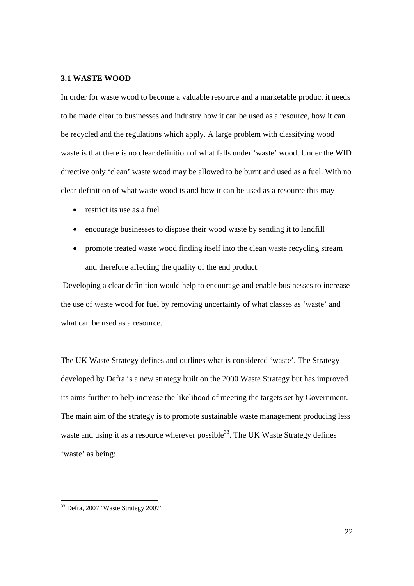#### **3.1 WASTE WOOD**

In order for waste wood to become a valuable resource and a marketable product it needs to be made clear to businesses and industry how it can be used as a resource, how it can be recycled and the regulations which apply. A large problem with classifying wood waste is that there is no clear definition of what falls under 'waste' wood. Under the WID directive only 'clean' waste wood may be allowed to be burnt and used as a fuel. With no clear definition of what waste wood is and how it can be used as a resource this may

- restrict its use as a fuel
- encourage businesses to dispose their wood waste by sending it to landfill
- promote treated waste wood finding itself into the clean waste recycling stream and therefore affecting the quality of the end product.

 Developing a clear definition would help to encourage and enable businesses to increase the use of waste wood for fuel by removing uncertainty of what classes as 'waste' and what can be used as a resource.

The UK Waste Strategy defines and outlines what is considered 'waste'. The Strategy developed by Defra is a new strategy built on the 2000 Waste Strategy but has improved its aims further to help increase the likelihood of meeting the targets set by Government. The main aim of the strategy is to promote sustainable waste management producing less waste and using it as a resource wherever possible  $33$ . The UK Waste Strategy defines 'waste' as being:

 $\overline{a}$ 

<sup>&</sup>lt;sup>33</sup> Defra, 2007 'Waste Strategy 2007'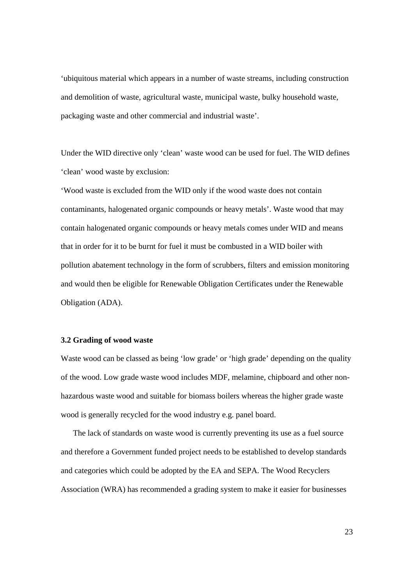'ubiquitous material which appears in a number of waste streams, including construction and demolition of waste, agricultural waste, municipal waste, bulky household waste, packaging waste and other commercial and industrial waste'.

Under the WID directive only 'clean' waste wood can be used for fuel. The WID defines 'clean' wood waste by exclusion:

'Wood waste is excluded from the WID only if the wood waste does not contain contaminants, halogenated organic compounds or heavy metals'. Waste wood that may contain halogenated organic compounds or heavy metals comes under WID and means that in order for it to be burnt for fuel it must be combusted in a WID boiler with pollution abatement technology in the form of scrubbers, filters and emission monitoring and would then be eligible for Renewable Obligation Certificates under the Renewable Obligation (ADA).

#### **3.2 Grading of wood waste**

Waste wood can be classed as being 'low grade' or 'high grade' depending on the quality of the wood. Low grade waste wood includes MDF, melamine, chipboard and other nonhazardous waste wood and suitable for biomass boilers whereas the higher grade waste wood is generally recycled for the wood industry e.g. panel board.

The lack of standards on waste wood is currently preventing its use as a fuel source and therefore a Government funded project needs to be established to develop standards and categories which could be adopted by the EA and SEPA. The Wood Recyclers Association (WRA) has recommended a grading system to make it easier for businesses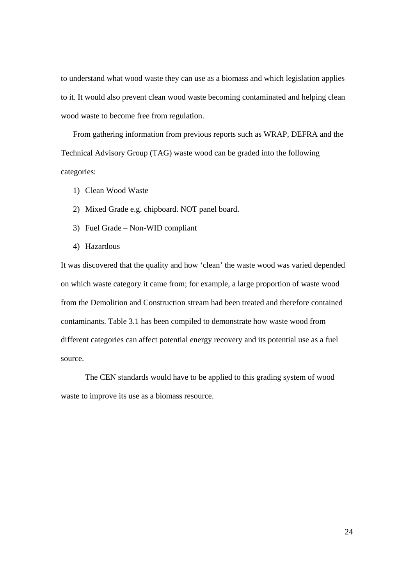to understand what wood waste they can use as a biomass and which legislation applies to it. It would also prevent clean wood waste becoming contaminated and helping clean wood waste to become free from regulation.

From gathering information from previous reports such as WRAP, DEFRA and the Technical Advisory Group (TAG) waste wood can be graded into the following categories:

- 1) Clean Wood Waste
- 2) Mixed Grade e.g. chipboard. NOT panel board.
- 3) Fuel Grade Non-WID compliant
- 4) Hazardous

It was discovered that the quality and how 'clean' the waste wood was varied depended on which waste category it came from; for example, a large proportion of waste wood from the Demolition and Construction stream had been treated and therefore contained contaminants. Table 3.1 has been compiled to demonstrate how waste wood from different categories can affect potential energy recovery and its potential use as a fuel source.

The CEN standards would have to be applied to this grading system of wood waste to improve its use as a biomass resource.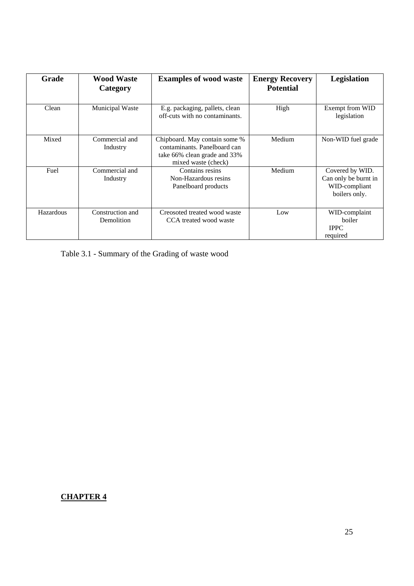| Grade     | <b>Wood Waste</b><br>Category  | <b>Examples of wood waste</b>                                                                                        | <b>Energy Recovery</b><br><b>Potential</b> | Legislation                                                               |
|-----------|--------------------------------|----------------------------------------------------------------------------------------------------------------------|--------------------------------------------|---------------------------------------------------------------------------|
| Clean     | Municipal Waste                | E.g. packaging, pallets, clean<br>off-cuts with no contaminants.                                                     | High                                       | Exempt from WID<br>legislation                                            |
| Mixed     | Commercial and<br>Industry     | Chipboard. May contain some %<br>contaminants. Panelboard can<br>take 66% clean grade and 33%<br>mixed waste (check) | Medium                                     | Non-WID fuel grade                                                        |
| Fuel      | Commercial and<br>Industry     | Contains resins<br>Non-Hazardous resins<br>Panelboard products                                                       | Medium                                     | Covered by WID.<br>Can only be burnt in<br>WID-compliant<br>boilers only. |
| Hazardous | Construction and<br>Demolition | Creosoted treated wood waste<br>CCA treated wood waste                                                               | Low                                        | WID-complaint<br>boiler<br><b>IPPC</b><br>required                        |

Table 3.1 - Summary of the Grading of waste wood

## **CHAPTER 4**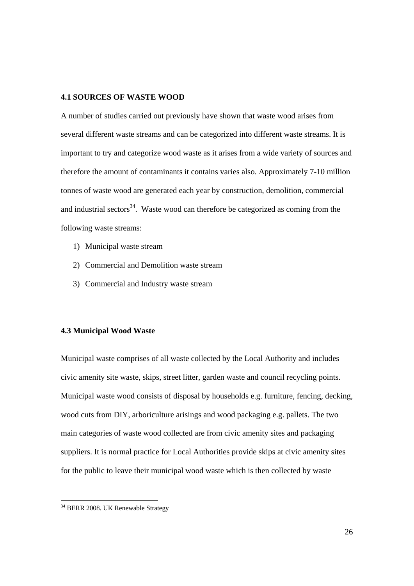#### **4.1 SOURCES OF WASTE WOOD**

A number of studies carried out previously have shown that waste wood arises from several different waste streams and can be categorized into different waste streams. It is important to try and categorize wood waste as it arises from a wide variety of sources and therefore the amount of contaminants it contains varies also. Approximately 7-10 million tonnes of waste wood are generated each year by construction, demolition, commercial and industrial sectors<sup>34</sup>. Waste wood can therefore be categorized as coming from the following waste streams:

- 1) Municipal waste stream
- 2) Commercial and Demolition waste stream
- 3) Commercial and Industry waste stream

#### **4.3 Municipal Wood Waste**

Municipal waste comprises of all waste collected by the Local Authority and includes civic amenity site waste, skips, street litter, garden waste and council recycling points. Municipal waste wood consists of disposal by households e.g. furniture, fencing, decking, wood cuts from DIY, arboriculture arisings and wood packaging e.g. pallets. The two main categories of waste wood collected are from civic amenity sites and packaging suppliers. It is normal practice for Local Authorities provide skips at civic amenity sites for the public to leave their municipal wood waste which is then collected by waste

 $\overline{a}$ 

<sup>&</sup>lt;sup>34</sup> BERR 2008. UK Renewable Strategy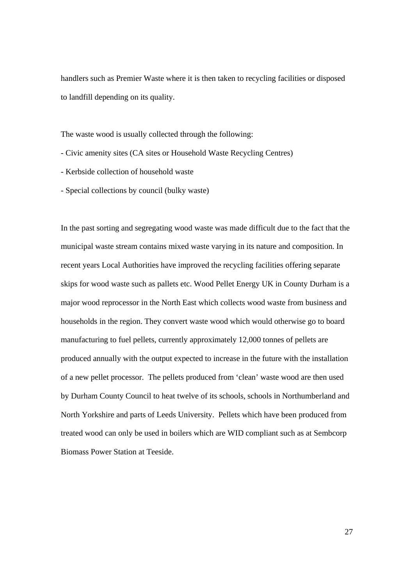handlers such as Premier Waste where it is then taken to recycling facilities or disposed to landfill depending on its quality.

The waste wood is usually collected through the following:

- Civic amenity sites (CA sites or Household Waste Recycling Centres)
- Kerbside collection of household waste
- Special collections by council (bulky waste)

In the past sorting and segregating wood waste was made difficult due to the fact that the municipal waste stream contains mixed waste varying in its nature and composition. In recent years Local Authorities have improved the recycling facilities offering separate skips for wood waste such as pallets etc. Wood Pellet Energy UK in County Durham is a major wood reprocessor in the North East which collects wood waste from business and households in the region. They convert waste wood which would otherwise go to board manufacturing to fuel pellets, currently approximately 12,000 tonnes of pellets are produced annually with the output expected to increase in the future with the installation of a new pellet processor. The pellets produced from 'clean' waste wood are then used by Durham County Council to heat twelve of its schools, schools in Northumberland and North Yorkshire and parts of Leeds University. Pellets which have been produced from treated wood can only be used in boilers which are WID compliant such as at Sembcorp Biomass Power Station at Teeside.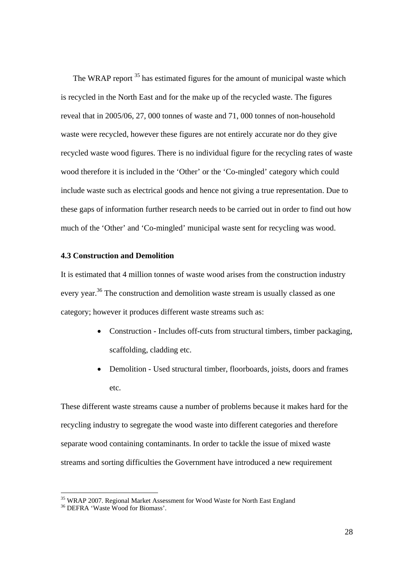The WRAP report <sup>35</sup> has estimated figures for the amount of municipal waste which is recycled in the North East and for the make up of the recycled waste. The figures reveal that in 2005/06, 27, 000 tonnes of waste and 71, 000 tonnes of non-household waste were recycled, however these figures are not entirely accurate nor do they give recycled waste wood figures. There is no individual figure for the recycling rates of waste wood therefore it is included in the 'Other' or the 'Co-mingled' category which could include waste such as electrical goods and hence not giving a true representation. Due to these gaps of information further research needs to be carried out in order to find out how much of the 'Other' and 'Co-mingled' municipal waste sent for recycling was wood.

#### **4.3 Construction and Demolition**

It is estimated that 4 million tonnes of waste wood arises from the construction industry every year.<sup>36</sup> The construction and demolition waste stream is usually classed as one category; however it produces different waste streams such as:

- Construction Includes off-cuts from structural timbers, timber packaging, scaffolding, cladding etc.
- Demolition Used structural timber, floorboards, joists, doors and frames etc.

These different waste streams cause a number of problems because it makes hard for the recycling industry to segregate the wood waste into different categories and therefore separate wood containing contaminants. In order to tackle the issue of mixed waste streams and sorting difficulties the Government have introduced a new requirement

<sup>&</sup>lt;sup>35</sup> WRAP 2007. Regional Market Assessment for Wood Waste for North East England

<sup>36</sup> DEFRA 'Waste Wood for Biomass'.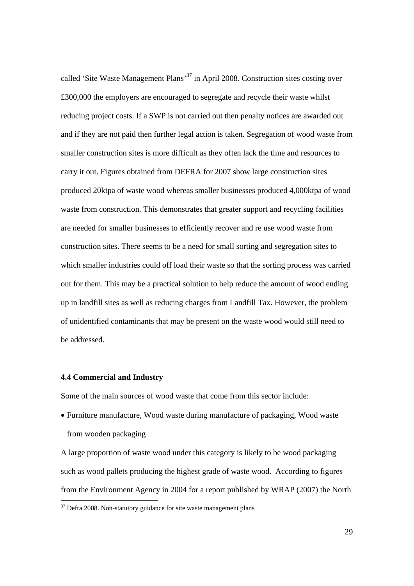called 'Site Waste Management Plans'37 in April 2008. Construction sites costing over £300,000 the employers are encouraged to segregate and recycle their waste whilst reducing project costs. If a SWP is not carried out then penalty notices are awarded out and if they are not paid then further legal action is taken. Segregation of wood waste from smaller construction sites is more difficult as they often lack the time and resources to carry it out. Figures obtained from DEFRA for 2007 show large construction sites produced 20ktpa of waste wood whereas smaller businesses produced 4,000ktpa of wood waste from construction. This demonstrates that greater support and recycling facilities are needed for smaller businesses to efficiently recover and re use wood waste from construction sites. There seems to be a need for small sorting and segregation sites to which smaller industries could off load their waste so that the sorting process was carried out for them. This may be a practical solution to help reduce the amount of wood ending up in landfill sites as well as reducing charges from Landfill Tax. However, the problem of unidentified contaminants that may be present on the waste wood would still need to be addressed.

#### **4.4 Commercial and Industry**

 $\overline{a}$ 

Some of the main sources of wood waste that come from this sector include:

• Furniture manufacture, Wood waste during manufacture of packaging, Wood waste from wooden packaging

A large proportion of waste wood under this category is likely to be wood packaging such as wood pallets producing the highest grade of waste wood. According to figures from the Environment Agency in 2004 for a report published by WRAP (2007) the North

 $37$  Defra 2008. Non-statutory guidance for site waste management plans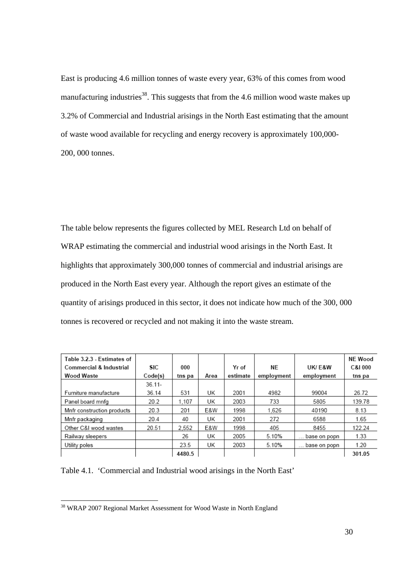East is producing 4.6 million tonnes of waste every year, 63% of this comes from wood manufacturing industries<sup>38</sup>. This suggests that from the 4.6 million wood waste makes up 3.2% of Commercial and Industrial arisings in the North East estimating that the amount of waste wood available for recycling and energy recovery is approximately 100,000- 200, 000 tonnes.

The table below represents the figures collected by MEL Research Ltd on behalf of WRAP estimating the commercial and industrial wood arisings in the North East. It highlights that approximately 300,000 tonnes of commercial and industrial arisings are produced in the North East every year. Although the report gives an estimate of the quantity of arisings produced in this sector, it does not indicate how much of the 300, 000 tonnes is recovered or recycled and not making it into the waste stream.

| Table 3.2.3 - Estimates of         |            |        |      |          |            |              | <b>NE Wood</b> |
|------------------------------------|------------|--------|------|----------|------------|--------------|----------------|
| <b>Commercial &amp; Industrial</b> | <b>SIC</b> | 000    |      | Yr of    | ΝF         | UK/F&W       | C&I 000        |
| <b>Wood Waste</b>                  | Code(s)    | tns pa | Area | estimate | employment | employment   | tns pa         |
|                                    | $36.11 -$  |        |      |          |            |              |                |
| Furniture manufacture              | 36.14      | 531    | UK   | 2001     | 4982       | 99004        | 26.72          |
| Panel board mnfg                   | 20.2       | 1.107  | UK   | 2003     | 733        | 5805         | 139.78         |
| Mnfr construction products         | 20.3       | 201    | E&W  | 1998     | 1.626      | 40190        | 8.13           |
| Mnfr packaging                     | 20.4       | 40     | UK   | 2001     | 272        | 6588         | 1.65           |
| Other C&I wood wastes              | 20.51      | 2.552  | E&W  | 1998     | 405        | 8455         | 122.24         |
| Railway sleepers                   |            | 26     | UK   | 2005     | 5.10%      | base on popn | 1.33           |
| Utility poles                      |            | 23.5   | UK   | 2003     | 5.10%      | base on popn | 1.20           |
|                                    |            | 4480.5 |      |          |            |              | 301.05         |

Table 4.1. 'Commercial and Industrial wood arisings in the North East'

 $\overline{a}$ 

<sup>&</sup>lt;sup>38</sup> WRAP 2007 Regional Market Assessment for Wood Waste in North England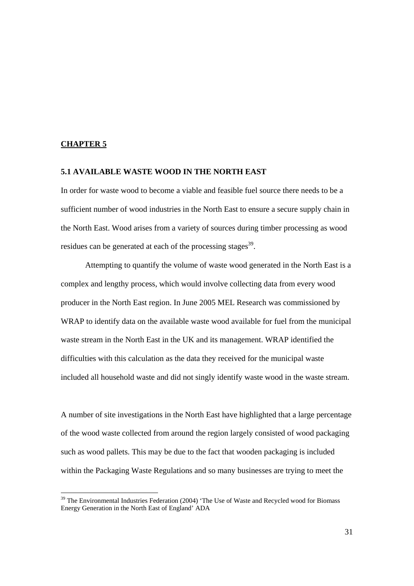#### **CHAPTER 5**

#### **5.1 AVAILABLE WASTE WOOD IN THE NORTH EAST**

In order for waste wood to become a viable and feasible fuel source there needs to be a sufficient number of wood industries in the North East to ensure a secure supply chain in the North East. Wood arises from a variety of sources during timber processing as wood residues can be generated at each of the processing stages<sup>39</sup>.

Attempting to quantify the volume of waste wood generated in the North East is a complex and lengthy process, which would involve collecting data from every wood producer in the North East region. In June 2005 MEL Research was commissioned by WRAP to identify data on the available waste wood available for fuel from the municipal waste stream in the North East in the UK and its management. WRAP identified the difficulties with this calculation as the data they received for the municipal waste included all household waste and did not singly identify waste wood in the waste stream.

A number of site investigations in the North East have highlighted that a large percentage of the wood waste collected from around the region largely consisted of wood packaging such as wood pallets. This may be due to the fact that wooden packaging is included within the Packaging Waste Regulations and so many businesses are trying to meet the

<sup>&</sup>lt;sup>39</sup> The Environmental Industries Federation (2004) 'The Use of Waste and Recycled wood for Biomass Energy Generation in the North East of England' ADA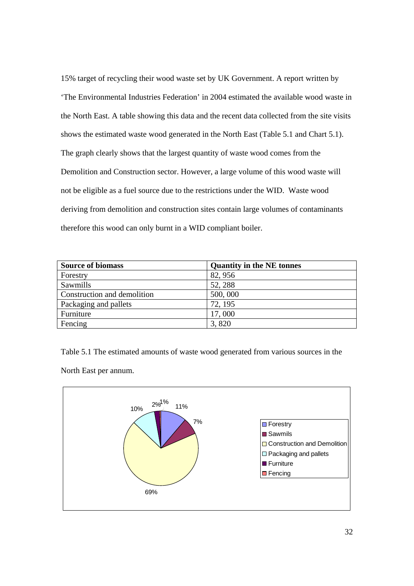15% target of recycling their wood waste set by UK Government. A report written by 'The Environmental Industries Federation' in 2004 estimated the available wood waste in the North East. A table showing this data and the recent data collected from the site visits shows the estimated waste wood generated in the North East (Table 5.1 and Chart 5.1). The graph clearly shows that the largest quantity of waste wood comes from the Demolition and Construction sector. However, a large volume of this wood waste will not be eligible as a fuel source due to the restrictions under the WID. Waste wood deriving from demolition and construction sites contain large volumes of contaminants therefore this wood can only burnt in a WID compliant boiler.

| <b>Source of biomass</b>    | <b>Quantity in the NE tonnes</b> |
|-----------------------------|----------------------------------|
| Forestry                    | 82, 956                          |
| Sawmills                    | 52, 288                          |
| Construction and demolition | 500,000                          |
| Packaging and pallets       | 72, 195                          |
| Furniture                   | 17,000                           |
| Fencing                     | 3,820                            |

Table 5.1 The estimated amounts of waste wood generated from various sources in the

North East per annum.

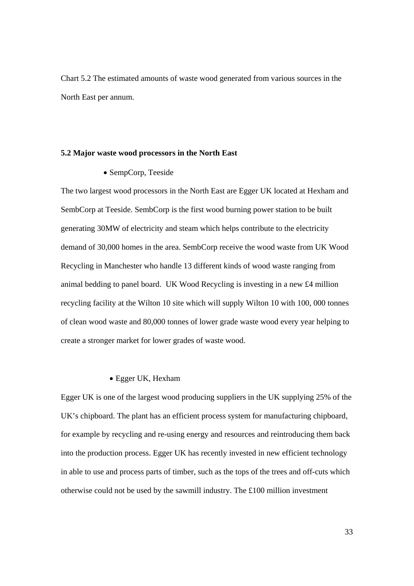Chart 5.2 The estimated amounts of waste wood generated from various sources in the North East per annum.

#### **5.2 Major waste wood processors in the North East**

• SempCorp, Teeside

The two largest wood processors in the North East are Egger UK located at Hexham and SembCorp at Teeside. SembCorp is the first wood burning power station to be built generating 30MW of electricity and steam which helps contribute to the electricity demand of 30,000 homes in the area. SembCorp receive the wood waste from UK Wood Recycling in Manchester who handle 13 different kinds of wood waste ranging from animal bedding to panel board. UK Wood Recycling is investing in a new £4 million recycling facility at the Wilton 10 site which will supply Wilton 10 with 100, 000 tonnes of clean wood waste and 80,000 tonnes of lower grade waste wood every year helping to create a stronger market for lower grades of waste wood.

#### • Egger UK, Hexham

Egger UK is one of the largest wood producing suppliers in the UK supplying 25% of the UK's chipboard. The plant has an efficient process system for manufacturing chipboard, for example by recycling and re-using energy and resources and reintroducing them back into the production process. Egger UK has recently invested in new efficient technology in able to use and process parts of timber, such as the tops of the trees and off-cuts which otherwise could not be used by the sawmill industry. The £100 million investment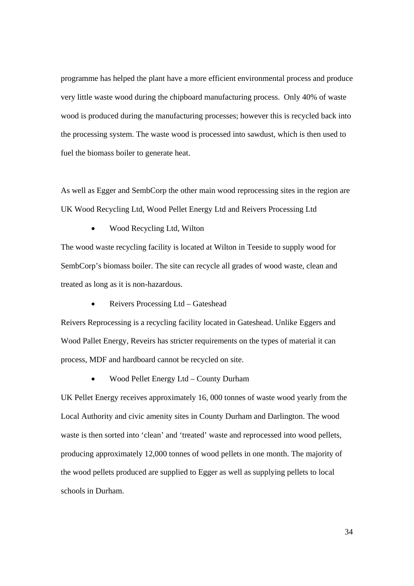programme has helped the plant have a more efficient environmental process and produce very little waste wood during the chipboard manufacturing process. Only 40% of waste wood is produced during the manufacturing processes; however this is recycled back into the processing system. The waste wood is processed into sawdust, which is then used to fuel the biomass boiler to generate heat.

As well as Egger and SembCorp the other main wood reprocessing sites in the region are UK Wood Recycling Ltd, Wood Pellet Energy Ltd and Reivers Processing Ltd

• Wood Recycling Ltd, Wilton

The wood waste recycling facility is located at Wilton in Teeside to supply wood for SembCorp's biomass boiler. The site can recycle all grades of wood waste, clean and treated as long as it is non-hazardous.

• Reivers Processing Ltd – Gateshead

Reivers Reprocessing is a recycling facility located in Gateshead. Unlike Eggers and Wood Pallet Energy, Reveirs has stricter requirements on the types of material it can process, MDF and hardboard cannot be recycled on site.

• Wood Pellet Energy Ltd – County Durham

UK Pellet Energy receives approximately 16, 000 tonnes of waste wood yearly from the Local Authority and civic amenity sites in County Durham and Darlington. The wood waste is then sorted into 'clean' and 'treated' waste and reprocessed into wood pellets, producing approximately 12,000 tonnes of wood pellets in one month. The majority of the wood pellets produced are supplied to Egger as well as supplying pellets to local schools in Durham.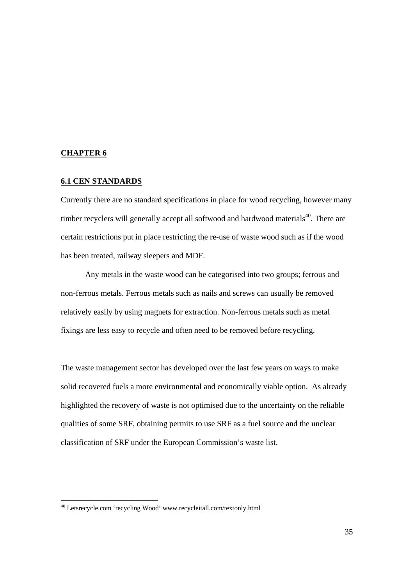#### **CHAPTER 6**

 $\overline{a}$ 

#### **6.1 CEN STANDARDS**

Currently there are no standard specifications in place for wood recycling, however many timber recyclers will generally accept all softwood and hardwood materials<sup>40</sup>. There are certain restrictions put in place restricting the re-use of waste wood such as if the wood has been treated, railway sleepers and MDF.

 Any metals in the waste wood can be categorised into two groups; ferrous and non-ferrous metals. Ferrous metals such as nails and screws can usually be removed relatively easily by using magnets for extraction. Non-ferrous metals such as metal fixings are less easy to recycle and often need to be removed before recycling.

The waste management sector has developed over the last few years on ways to make solid recovered fuels a more environmental and economically viable option. As already highlighted the recovery of waste is not optimised due to the uncertainty on the reliable qualities of some SRF, obtaining permits to use SRF as a fuel source and the unclear classification of SRF under the European Commission's waste list.

<sup>&</sup>lt;sup>40</sup> Letsrecycle.com 'recycling Wood' www.recycleitall.com/textonly.html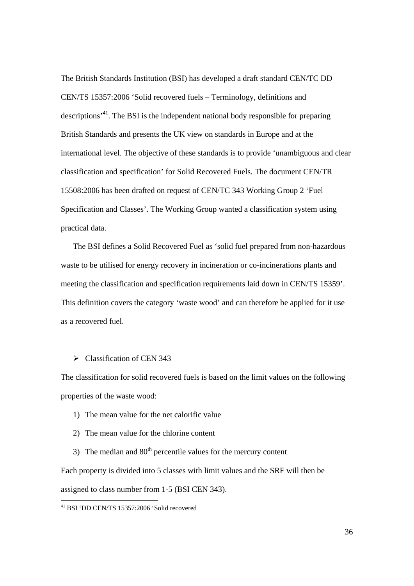The British Standards Institution (BSI) has developed a draft standard CEN/TC DD CEN/TS 15357:2006 'Solid recovered fuels – Terminology, definitions and descriptions'41. The BSI is the independent national body responsible for preparing British Standards and presents the UK view on standards in Europe and at the international level. The objective of these standards is to provide 'unambiguous and clear classification and specification' for Solid Recovered Fuels. The document CEN/TR 15508:2006 has been drafted on request of CEN/TC 343 Working Group 2 'Fuel Specification and Classes'. The Working Group wanted a classification system using practical data.

The BSI defines a Solid Recovered Fuel as 'solid fuel prepared from non-hazardous waste to be utilised for energy recovery in incineration or co-incinerations plants and meeting the classification and specification requirements laid down in CEN/TS 15359'. This definition covers the category 'waste wood' and can therefore be applied for it use as a recovered fuel.

 $\triangleright$  Classification of CEN 343

The classification for solid recovered fuels is based on the limit values on the following properties of the waste wood:

- 1) The mean value for the net calorific value
- 2) The mean value for the chlorine content

3) The median and  $80<sup>th</sup>$  percentile values for the mercury content Each property is divided into 5 classes with limit values and the SRF will then be assigned to class number from 1-5 (BSI CEN 343).

 $\overline{a}$ 

<sup>41</sup> BSI 'DD CEN/TS 15357:2006 'Solid recovered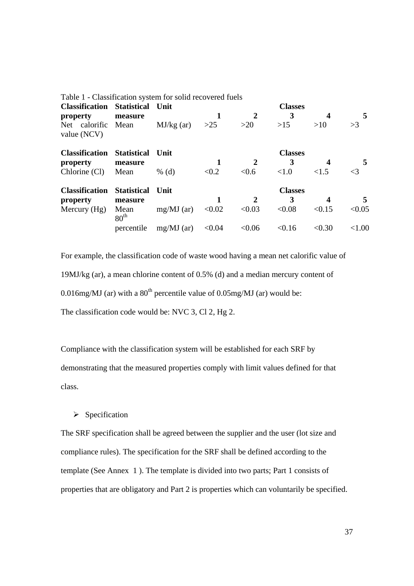| Table 1 - Classification system for solid recovered fuels |                          |              |        |              |                |                  |           |
|-----------------------------------------------------------|--------------------------|--------------|--------|--------------|----------------|------------------|-----------|
| <b>Classification</b>                                     | <b>Statistical</b>       | <b>Unit</b>  |        |              | <b>Classes</b> |                  |           |
| property                                                  | measure                  |              |        | 2            | 3              | $\boldsymbol{4}$ | 5         |
| Net calorific Mean<br>value (NCV)                         |                          | $MJ/kg$ (ar) | >25    | >20          | >15            | >10              | >3        |
| <b>Classification</b>                                     | <b>Statistical</b>       | Unit         |        |              | <b>Classes</b> |                  |           |
| property                                                  | measure                  |              |        |              | 3              |                  |           |
| Chlorine (Cl)                                             | Mean                     | % $(d)$      | < 0.2  | < 0.6        | < 1.0          | <1.5             | $\leq$ 3  |
| <b>Classification</b>                                     | <b>Statistical</b>       | Unit         |        |              | <b>Classes</b> |                  |           |
| property                                                  | measure                  |              |        | $\mathbf{2}$ | 3              | 4                | 5.        |
| Mercury $(Hg)$                                            | Mean<br>80 <sup>th</sup> | $mg/MJ$ (ar) | < 0.02 | < 0.03       | < 0.08         | < 0.15           | < 0.05    |
|                                                           | percentile               | $mg/MJ$ (ar) | < 0.04 | < 0.06       | < 0.16         | < 0.30           | ${<}1.00$ |

For example, the classification code of waste wood having a mean net calorific value of 19MJ/kg (ar), a mean chlorine content of 0.5% (d) and a median mercury content of 0.016mg/MJ (ar) with a  $80<sup>th</sup>$  percentile value of 0.05mg/MJ (ar) would be: The classification code would be: NVC 3, Cl 2, Hg 2.

Compliance with the classification system will be established for each SRF by demonstrating that the measured properties comply with limit values defined for that class.

 $\triangleright$  Specification

The SRF specification shall be agreed between the supplier and the user (lot size and compliance rules). The specification for the SRF shall be defined according to the template (See Annex 1 ). The template is divided into two parts; Part 1 consists of properties that are obligatory and Part 2 is properties which can voluntarily be specified.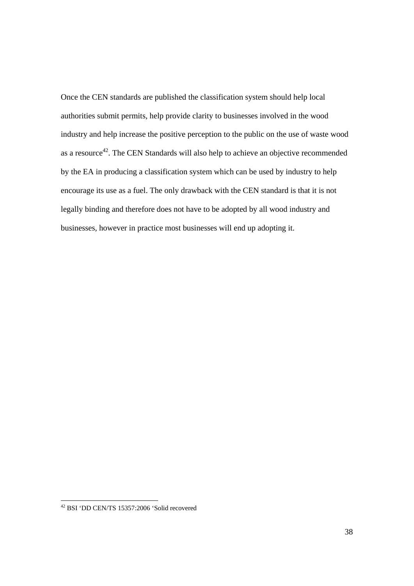Once the CEN standards are published the classification system should help local authorities submit permits, help provide clarity to businesses involved in the wood industry and help increase the positive perception to the public on the use of waste wood as a resource<sup>42</sup>. The CEN Standards will also help to achieve an objective recommended by the EA in producing a classification system which can be used by industry to help encourage its use as a fuel. The only drawback with the CEN standard is that it is not legally binding and therefore does not have to be adopted by all wood industry and businesses, however in practice most businesses will end up adopting it.

 $\overline{a}$ 

<sup>&</sup>lt;sup>42</sup> BSI 'DD CEN/TS 15357:2006 'Solid recovered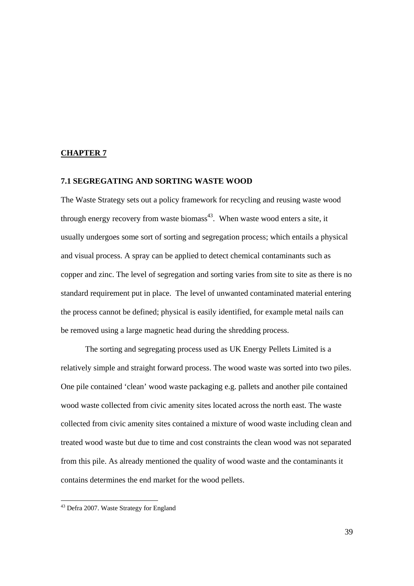#### **CHAPTER 7**

#### **7.1 SEGREGATING AND SORTING WASTE WOOD**

The Waste Strategy sets out a policy framework for recycling and reusing waste wood through energy recovery from waste biomass<sup>43</sup>. When waste wood enters a site, it usually undergoes some sort of sorting and segregation process; which entails a physical and visual process. A spray can be applied to detect chemical contaminants such as copper and zinc. The level of segregation and sorting varies from site to site as there is no standard requirement put in place. The level of unwanted contaminated material entering the process cannot be defined; physical is easily identified, for example metal nails can be removed using a large magnetic head during the shredding process.

 The sorting and segregating process used as UK Energy Pellets Limited is a relatively simple and straight forward process. The wood waste was sorted into two piles. One pile contained 'clean' wood waste packaging e.g. pallets and another pile contained wood waste collected from civic amenity sites located across the north east. The waste collected from civic amenity sites contained a mixture of wood waste including clean and treated wood waste but due to time and cost constraints the clean wood was not separated from this pile. As already mentioned the quality of wood waste and the contaminants it contains determines the end market for the wood pellets.

 $\overline{a}$ 

<sup>&</sup>lt;sup>43</sup> Defra 2007. Waste Strategy for England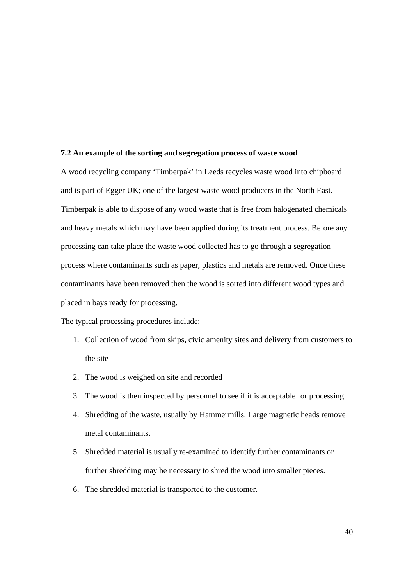#### **7.2 An example of the sorting and segregation process of waste wood**

A wood recycling company 'Timberpak' in Leeds recycles waste wood into chipboard and is part of Egger UK; one of the largest waste wood producers in the North East. Timberpak is able to dispose of any wood waste that is free from halogenated chemicals and heavy metals which may have been applied during its treatment process. Before any processing can take place the waste wood collected has to go through a segregation process where contaminants such as paper, plastics and metals are removed. Once these contaminants have been removed then the wood is sorted into different wood types and placed in bays ready for processing.

The typical processing procedures include:

- 1. Collection of wood from skips, civic amenity sites and delivery from customers to the site
- 2. The wood is weighed on site and recorded
- 3. The wood is then inspected by personnel to see if it is acceptable for processing.
- 4. Shredding of the waste, usually by Hammermills. Large magnetic heads remove metal contaminants.
- 5. Shredded material is usually re-examined to identify further contaminants or further shredding may be necessary to shred the wood into smaller pieces.
- 6. The shredded material is transported to the customer.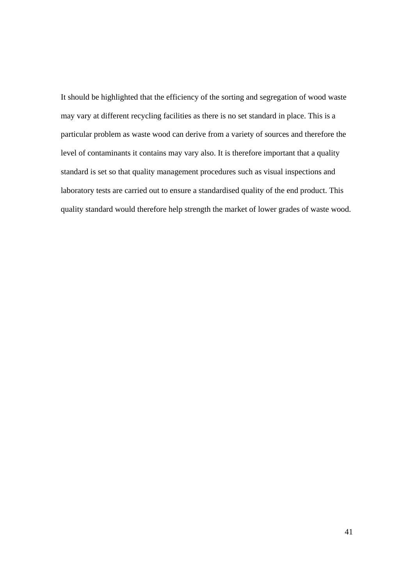It should be highlighted that the efficiency of the sorting and segregation of wood waste may vary at different recycling facilities as there is no set standard in place. This is a particular problem as waste wood can derive from a variety of sources and therefore the level of contaminants it contains may vary also. It is therefore important that a quality standard is set so that quality management procedures such as visual inspections and laboratory tests are carried out to ensure a standardised quality of the end product. This quality standard would therefore help strength the market of lower grades of waste wood.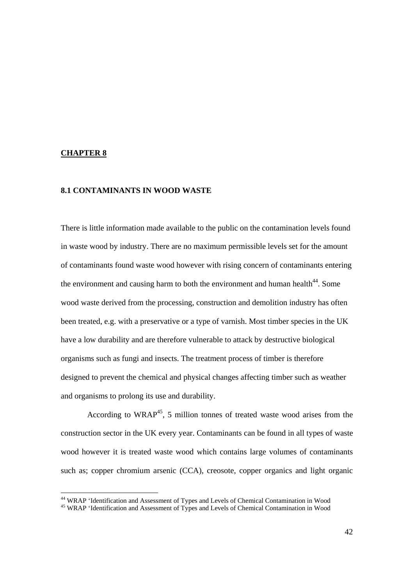#### **CHAPTER 8**

#### **8.1 CONTAMINANTS IN WOOD WASTE**

There is little information made available to the public on the contamination levels found in waste wood by industry. There are no maximum permissible levels set for the amount of contaminants found waste wood however with rising concern of contaminants entering the environment and causing harm to both the environment and human health<sup>44</sup>. Some wood waste derived from the processing, construction and demolition industry has often been treated, e.g. with a preservative or a type of varnish. Most timber species in the UK have a low durability and are therefore vulnerable to attack by destructive biological organisms such as fungi and insects. The treatment process of timber is therefore designed to prevent the chemical and physical changes affecting timber such as weather and organisms to prolong its use and durability.

According to WRAP<sup>45</sup>, 5 million tonnes of treated waste wood arises from the construction sector in the UK every year. Contaminants can be found in all types of waste wood however it is treated waste wood which contains large volumes of contaminants such as; copper chromium arsenic (CCA), creosote, copper organics and light organic

<sup>&</sup>lt;sup>44</sup> WRAP 'Identification and Assessment of Types and Levels of Chemical Contamination in Wood

<sup>&</sup>lt;sup>45</sup> WRAP 'Identification and Assessment of Types and Levels of Chemical Contamination in Wood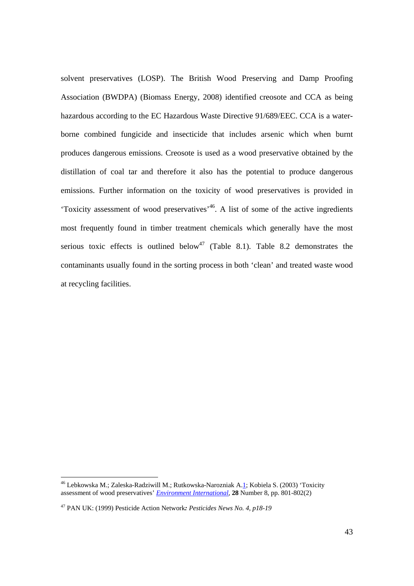solvent preservatives (LOSP). The British Wood Preserving and Damp Proofing Association (BWDPA) (Biomass Energy, 2008) identified creosote and CCA as being hazardous according to the EC Hazardous Waste Directive 91/689/EEC. CCA is a waterborne combined fungicide and insecticide that includes arsenic which when burnt produces dangerous emissions. Creosote is used as a wood preservative obtained by the distillation of coal tar and therefore it also has the potential to produce dangerous emissions. Further information on the toxicity of wood preservatives is provided in 'Toxicity assessment of wood preservatives'46. A list of some of the active ingredients most frequently found in timber treatment chemicals which generally have the most serious toxic effects is outlined below<sup>47</sup> (Table 8.1). Table 8.2 demonstrates the contaminants usually found in the sorting process in both 'clean' and treated waste wood at recycling facilities.

<sup>&</sup>lt;sup>46</sup> Lebkowska M.; Zaleska-Radziwill M.; Rutkowska-Narozniak A.1; Kobiela S. (2003) 'Toxicity assessment of wood preservatives' *Environment International,* **28** Number 8, pp. 801-802(2)

<sup>47</sup> PAN UK: (1999) Pesticide Action Network*: Pesticides News No. 4, p18-19*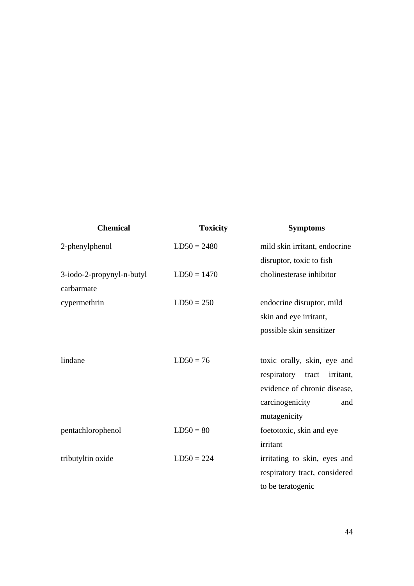| <b>Chemical</b>           | <b>Toxicity</b> | <b>Symptoms</b>               |
|---------------------------|-----------------|-------------------------------|
| 2-phenylphenol            | $LD50 = 2480$   | mild skin irritant, endocrine |
|                           |                 | disruptor, toxic to fish      |
| 3-iodo-2-propynyl-n-butyl | $LD50 = 1470$   | cholinesterase inhibitor      |
| carbarmate                |                 |                               |
| cypermethrin              | $LD50 = 250$    | endocrine disruptor, mild     |
|                           |                 | skin and eye irritant,        |
|                           |                 | possible skin sensitizer      |
|                           |                 |                               |
| lindane                   | $LD50 = 76$     | toxic orally, skin, eye and   |
|                           |                 | respiratory tract irritant,   |
|                           |                 | evidence of chronic disease,  |
|                           |                 | carcinogenicity<br>and        |
|                           |                 | mutagenicity                  |
| pentachlorophenol         | $LD50 = 80$     | foetotoxic, skin and eye      |
|                           |                 | irritant                      |
| tributyltin oxide         | $LD50 = 224$    | irritating to skin, eyes and  |
|                           |                 | respiratory tract, considered |
|                           |                 | to be teratogenic             |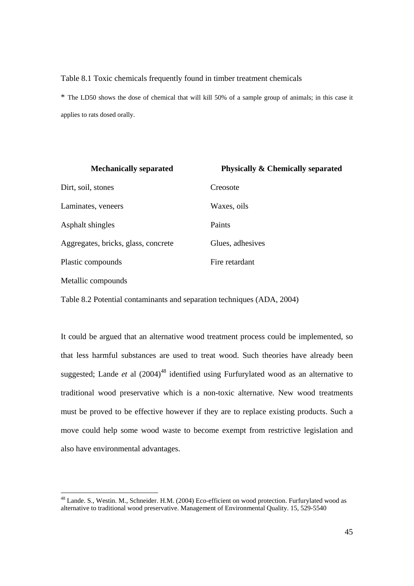#### Table 8.1 Toxic chemicals frequently found in timber treatment chemicals

\* The LD50 shows the dose of chemical that will kill 50% of a sample group of animals; in this case it applies to rats dosed orally.

| <b>Mechanically separated</b>       | <b>Physically &amp; Chemically separated</b> |
|-------------------------------------|----------------------------------------------|
| Dirt, soil, stones                  | Creosote                                     |
| Laminates, veneers                  | Waxes, oils                                  |
| Asphalt shingles                    | Paints                                       |
| Aggregates, bricks, glass, concrete | Glues, adhesives                             |
| Plastic compounds                   | Fire retardant                               |
| Metallic compounds                  |                                              |

Table 8.2 Potential contaminants and separation techniques (ADA, 2004)

It could be argued that an alternative wood treatment process could be implemented, so that less harmful substances are used to treat wood. Such theories have already been suggested; Lande  $et$  al  $(2004)^{48}$  identified using Furfurylated wood as an alternative to traditional wood preservative which is a non-toxic alternative. New wood treatments must be proved to be effective however if they are to replace existing products. Such a move could help some wood waste to become exempt from restrictive legislation and also have environmental advantages.

<sup>&</sup>lt;sup>48</sup> Lande. S., Westin. M., Schneider. H.M. (2004) Eco-efficient on wood protection. Furfurylated wood as alternative to traditional wood preservative. Management of Environmental Quality. 15, 529-5540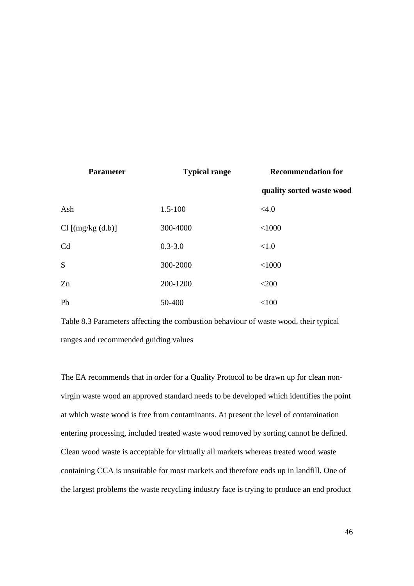| <b>Parameter</b>    | <b>Typical range</b> | <b>Recommendation for</b> |
|---------------------|----------------------|---------------------------|
|                     |                      | quality sorted waste wood |
| Ash                 | $1.5 - 100$          | <4.0                      |
| $Cl$ [(mg/kg (d.b)] | 300-4000             | < 1000                    |
| C <sub>d</sub>      | $0.3 - 3.0$          | <1.0                      |
| S                   | 300-2000             | < 1000                    |
| Zn                  | 200-1200             | $<$ 200                   |
| Pb                  | 50-400               | < 100                     |

Table 8.3 Parameters affecting the combustion behaviour of waste wood, their typical ranges and recommended guiding values

The EA recommends that in order for a Quality Protocol to be drawn up for clean nonvirgin waste wood an approved standard needs to be developed which identifies the point at which waste wood is free from contaminants. At present the level of contamination entering processing, included treated waste wood removed by sorting cannot be defined. Clean wood waste is acceptable for virtually all markets whereas treated wood waste containing CCA is unsuitable for most markets and therefore ends up in landfill. One of the largest problems the waste recycling industry face is trying to produce an end product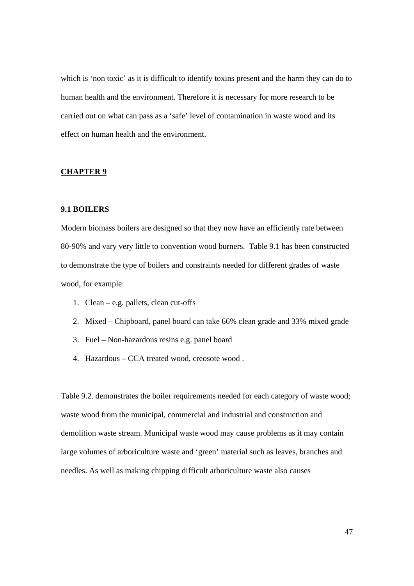which is 'non toxic' as it is difficult to identify toxins present and the harm they can do to human health and the environment. Therefore it is necessary for more research to be carried out on what can pass as a 'safe' level of contamination in waste wood and its effect on human health and the environment.

#### **CHAPTER 9**

## **9.1 BOILERS**

Modern biomass boilers are designed so that they now have an efficiently rate between 80-90% and vary very little to convention wood burners. Table 9.1 has been constructed to demonstrate the type of boilers and constraints needed for different grades of waste wood, for example:

- 1. Clean e.g. pallets, clean cut-offs
- 2. Mixed Chipboard, panel board can take 66% clean grade and 33% mixed grade
- 3. Fuel Non-hazardous resins e.g. panel board
- 4. Hazardous CCA treated wood, creosote wood .

Table 9.2. demonstrates the boiler requirements needed for each category of waste wood; waste wood from the municipal, commercial and industrial and construction and demolition waste stream. Municipal waste wood may cause problems as it may contain large volumes of arboriculture waste and 'green' material such as leaves, branches and needles. As well as making chipping difficult arboriculture waste also causes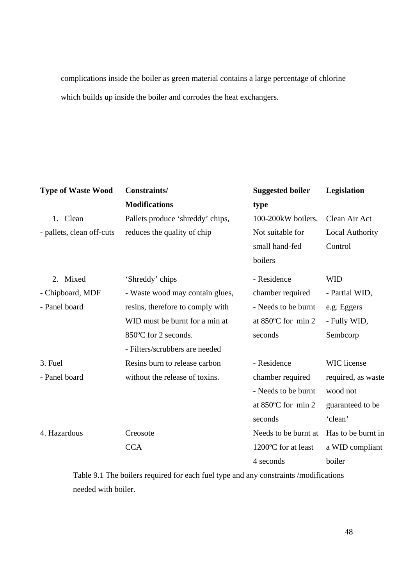complications inside the boiler as green material contains a large percentage of chlorine which builds up inside the boiler and corrodes the heat exchangers.

| <b>Type of Waste Wood</b> | Constraints/                     | <b>Suggested boiler</b> | Legislation            |
|---------------------------|----------------------------------|-------------------------|------------------------|
|                           | <b>Modifications</b>             | type                    |                        |
| 1. Clean                  | Pallets produce 'shreddy' chips, | 100-200kW boilers.      | Clean Air Act          |
| - pallets, clean off-cuts | reduces the quality of chip      | Not suitable for        | <b>Local Authority</b> |
|                           |                                  | small hand-fed          | Control                |
|                           |                                  | boilers                 |                        |
| Mixed<br>2.               | 'Shreddy' chips                  | - Residence             | <b>WID</b>             |
| - Chipboard, MDF          | - Waste wood may contain glues,  | chamber required        | - Partial WID,         |
| - Panel board             | resins, therefore to comply with | - Needs to be burnt     | e.g. Eggers            |
|                           | WID must be burnt for a min at   | at 850°C for min 2      | - Fully WID,           |
|                           | 850°C for 2 seconds.             | seconds                 | Sembcorp               |
|                           | - Filters/scrubbers are needed   |                         |                        |
| 3. Fuel                   | Resins burn to release carbon    | - Residence             | <b>WIC</b> license     |
| - Panel board             | without the release of toxins.   | chamber required        | required, as waste     |
|                           |                                  | - Needs to be burnt     | wood not               |
|                           |                                  | at 850°C for min 2      | guaranteed to be       |
|                           |                                  | seconds                 | 'clean'                |
| 4. Hazardous              | Creosote                         | Needs to be burnt at    | Has to be burnt in     |
|                           | <b>CCA</b>                       | 1200°C for at least     | a WID compliant        |
|                           |                                  | 4 seconds               | boiler                 |

Table 9.1 The boilers required for each fuel type and any constraints /modifications needed with boiler.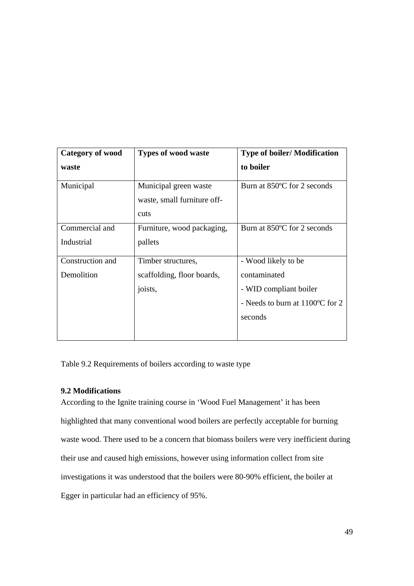| <b>Category of wood</b> | <b>Types of wood waste</b>                                   | <b>Type of boiler/Modification</b> |
|-------------------------|--------------------------------------------------------------|------------------------------------|
| waste                   |                                                              | to boiler                          |
| Municipal               | Municipal green waste<br>waste, small furniture off-<br>cuts | Burn at 850°C for 2 seconds        |
| Commercial and          | Furniture, wood packaging,                                   | Burn at 850°C for 2 seconds        |
| Industrial              | pallets                                                      |                                    |
| Construction and        | Timber structures,                                           | - Wood likely to be                |
| Demolition              | scaffolding, floor boards,                                   | contaminated                       |
|                         | joists,                                                      | - WID compliant boiler             |
|                         |                                                              | - Needs to burn at 1100°C for 2    |
|                         |                                                              | seconds                            |
|                         |                                                              |                                    |

Table 9.2 Requirements of boilers according to waste type

## **9.2 Modifications**

According to the Ignite training course in 'Wood Fuel Management' it has been highlighted that many conventional wood boilers are perfectly acceptable for burning waste wood. There used to be a concern that biomass boilers were very inefficient during their use and caused high emissions, however using information collect from site investigations it was understood that the boilers were 80-90% efficient, the boiler at Egger in particular had an efficiency of 95%.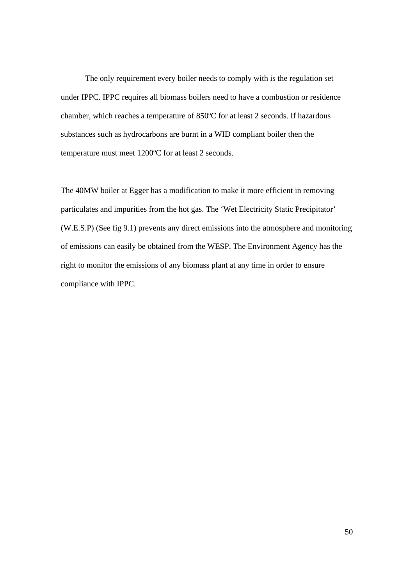The only requirement every boiler needs to comply with is the regulation set under IPPC. IPPC requires all biomass boilers need to have a combustion or residence chamber, which reaches a temperature of 850ºC for at least 2 seconds. If hazardous substances such as hydrocarbons are burnt in a WID compliant boiler then the temperature must meet 1200ºC for at least 2 seconds.

The 40MW boiler at Egger has a modification to make it more efficient in removing particulates and impurities from the hot gas. The 'Wet Electricity Static Precipitator' (W.E.S.P) (See fig 9.1) prevents any direct emissions into the atmosphere and monitoring of emissions can easily be obtained from the WESP. The Environment Agency has the right to monitor the emissions of any biomass plant at any time in order to ensure compliance with IPPC.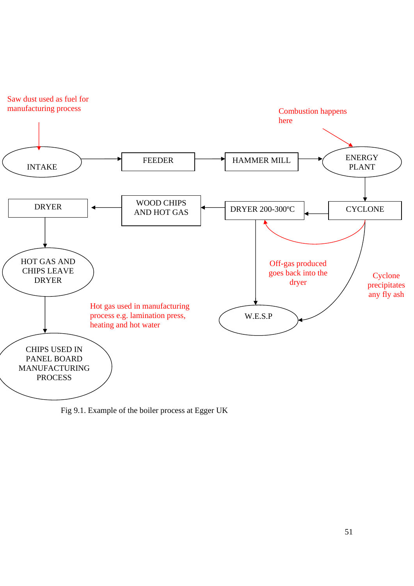



Fig 9.1. Example of the boiler process at Egger UK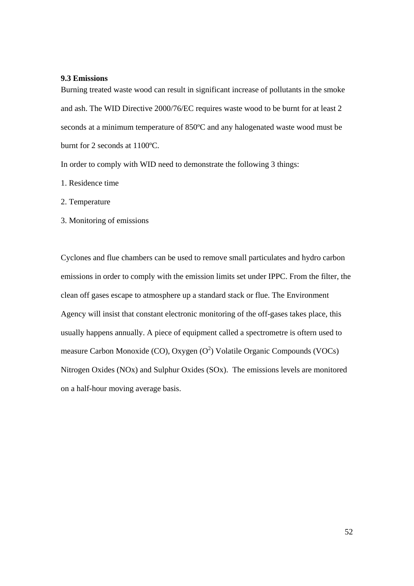#### **9.3 Emissions**

Burning treated waste wood can result in significant increase of pollutants in the smoke and ash. The WID Directive 2000/76/EC requires waste wood to be burnt for at least 2 seconds at a minimum temperature of 850ºC and any halogenated waste wood must be burnt for 2 seconds at 1100ºC.

In order to comply with WID need to demonstrate the following 3 things:

- 1. Residence time
- 2. Temperature
- 3. Monitoring of emissions

Cyclones and flue chambers can be used to remove small particulates and hydro carbon emissions in order to comply with the emission limits set under IPPC. From the filter, the clean off gases escape to atmosphere up a standard stack or flue. The Environment Agency will insist that constant electronic monitoring of the off-gases takes place, this usually happens annually. A piece of equipment called a spectrometre is oftern used to measure Carbon Monoxide (CO), Oxygen  $(O^2)$  Volatile Organic Compounds (VOCs) Nitrogen Oxides (NOx) and Sulphur Oxides (SOx). The emissions levels are monitored on a half-hour moving average basis.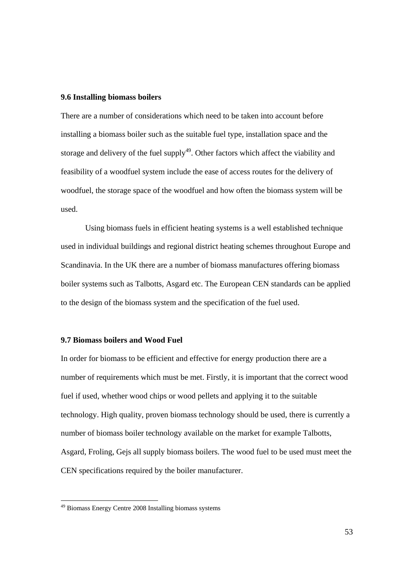#### **9.6 Installing biomass boilers**

There are a number of considerations which need to be taken into account before installing a biomass boiler such as the suitable fuel type, installation space and the storage and delivery of the fuel supply<sup>49</sup>. Other factors which affect the viability and feasibility of a woodfuel system include the ease of access routes for the delivery of woodfuel, the storage space of the woodfuel and how often the biomass system will be used.

 Using biomass fuels in efficient heating systems is a well established technique used in individual buildings and regional district heating schemes throughout Europe and Scandinavia. In the UK there are a number of biomass manufactures offering biomass boiler systems such as Talbotts, Asgard etc. The European CEN standards can be applied to the design of the biomass system and the specification of the fuel used.

#### **9.7 Biomass boilers and Wood Fuel**

In order for biomass to be efficient and effective for energy production there are a number of requirements which must be met. Firstly, it is important that the correct wood fuel if used, whether wood chips or wood pellets and applying it to the suitable technology. High quality, proven biomass technology should be used, there is currently a number of biomass boiler technology available on the market for example Talbotts, Asgard, Froling, Gejs all supply biomass boilers. The wood fuel to be used must meet the CEN specifications required by the boiler manufacturer.

 $\overline{a}$ 

<sup>&</sup>lt;sup>49</sup> Biomass Energy Centre 2008 Installing biomass systems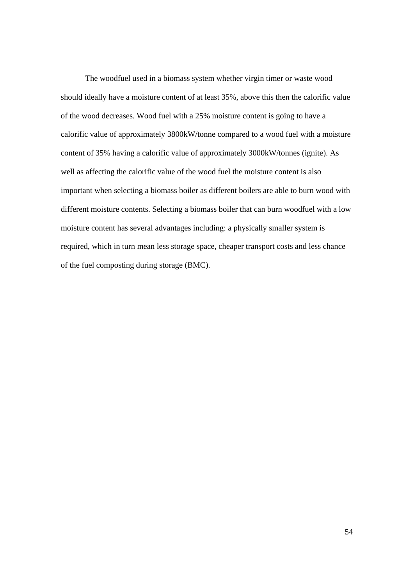The woodfuel used in a biomass system whether virgin timer or waste wood should ideally have a moisture content of at least 35%, above this then the calorific value of the wood decreases. Wood fuel with a 25% moisture content is going to have a calorific value of approximately 3800kW/tonne compared to a wood fuel with a moisture content of 35% having a calorific value of approximately 3000kW/tonnes (ignite). As well as affecting the calorific value of the wood fuel the moisture content is also important when selecting a biomass boiler as different boilers are able to burn wood with different moisture contents. Selecting a biomass boiler that can burn woodfuel with a low moisture content has several advantages including: a physically smaller system is required, which in turn mean less storage space, cheaper transport costs and less chance of the fuel composting during storage (BMC).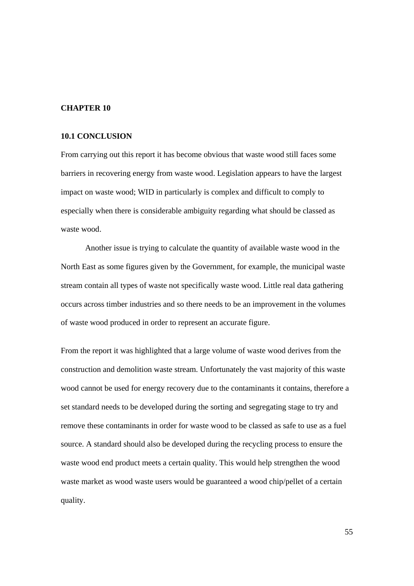#### **CHAPTER 10**

#### **10.1 CONCLUSION**

From carrying out this report it has become obvious that waste wood still faces some barriers in recovering energy from waste wood. Legislation appears to have the largest impact on waste wood; WID in particularly is complex and difficult to comply to especially when there is considerable ambiguity regarding what should be classed as waste wood.

 Another issue is trying to calculate the quantity of available waste wood in the North East as some figures given by the Government, for example, the municipal waste stream contain all types of waste not specifically waste wood. Little real data gathering occurs across timber industries and so there needs to be an improvement in the volumes of waste wood produced in order to represent an accurate figure.

From the report it was highlighted that a large volume of waste wood derives from the construction and demolition waste stream. Unfortunately the vast majority of this waste wood cannot be used for energy recovery due to the contaminants it contains, therefore a set standard needs to be developed during the sorting and segregating stage to try and remove these contaminants in order for waste wood to be classed as safe to use as a fuel source. A standard should also be developed during the recycling process to ensure the waste wood end product meets a certain quality. This would help strengthen the wood waste market as wood waste users would be guaranteed a wood chip/pellet of a certain quality.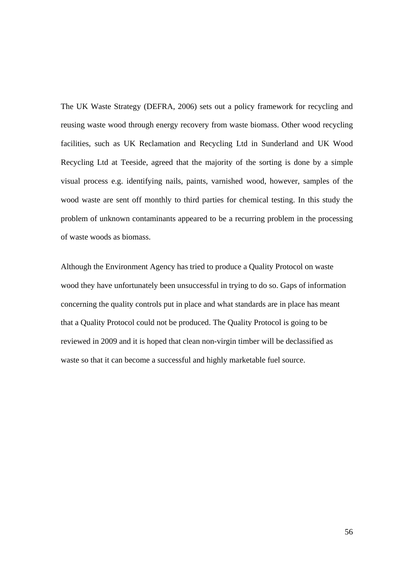The UK Waste Strategy (DEFRA, 2006) sets out a policy framework for recycling and reusing waste wood through energy recovery from waste biomass. Other wood recycling facilities, such as UK Reclamation and Recycling Ltd in Sunderland and UK Wood Recycling Ltd at Teeside, agreed that the majority of the sorting is done by a simple visual process e.g. identifying nails, paints, varnished wood, however, samples of the wood waste are sent off monthly to third parties for chemical testing. In this study the problem of unknown contaminants appeared to be a recurring problem in the processing of waste woods as biomass.

Although the Environment Agency has tried to produce a Quality Protocol on waste wood they have unfortunately been unsuccessful in trying to do so. Gaps of information concerning the quality controls put in place and what standards are in place has meant that a Quality Protocol could not be produced. The Quality Protocol is going to be reviewed in 2009 and it is hoped that clean non-virgin timber will be declassified as waste so that it can become a successful and highly marketable fuel source.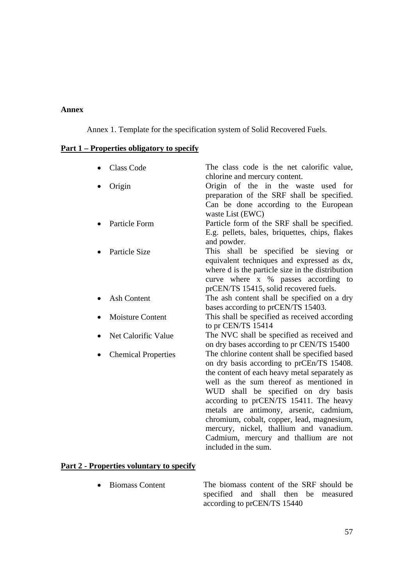#### **Annex**

Annex 1. Template for the specification system of Solid Recovered Fuels.

## **Part 1 – Properties obligatory to specify**

| <b>Class Code</b>          | The class code is the net calorific value,<br>chlorine and mercury content.                                                                                                                                                                                                                                                                                                                                                                                                 |
|----------------------------|-----------------------------------------------------------------------------------------------------------------------------------------------------------------------------------------------------------------------------------------------------------------------------------------------------------------------------------------------------------------------------------------------------------------------------------------------------------------------------|
| Origin                     | Origin of the in the waste used for<br>preparation of the SRF shall be specified.<br>Can be done according to the European<br>waste List (EWC)                                                                                                                                                                                                                                                                                                                              |
| Particle Form              | Particle form of the SRF shall be specified.<br>E.g. pellets, bales, briquettes, chips, flakes<br>and powder.                                                                                                                                                                                                                                                                                                                                                               |
| Particle Size              | This shall be specified be sieving or<br>equivalent techniques and expressed as dx,<br>where d is the particle size in the distribution<br>curve where x % passes according to<br>prCEN/TS 15415, solid recovered fuels.                                                                                                                                                                                                                                                    |
| <b>Ash Content</b>         | The ash content shall be specified on a dry<br>bases according to prCEN/TS 15403.                                                                                                                                                                                                                                                                                                                                                                                           |
| <b>Moisture Content</b>    | This shall be specified as received according<br>to pr CEN/TS 15414                                                                                                                                                                                                                                                                                                                                                                                                         |
| Net Calorific Value        | The NVC shall be specified as received and<br>on dry bases according to pr CEN/TS 15400                                                                                                                                                                                                                                                                                                                                                                                     |
| <b>Chemical Properties</b> | The chlorine content shall be specified based<br>on dry basis according to prCEn/TS 15408.<br>the content of each heavy metal separately as<br>well as the sum thereof as mentioned in<br>WUD shall be specified on dry basis<br>according to prCEN/TS 15411. The heavy<br>metals are antimony, arsenic, cadmium,<br>chromium, cobalt, copper, lead, magnesium,<br>mercury, nickel, thallium and vanadium.<br>Cadmium, mercury and thallium are not<br>included in the sum. |

## **Part 2 - Properties voluntary to specify**

• Biomass Content The biomass content of the SRF should be specified and shall then be measured according to prCEN/TS 15440